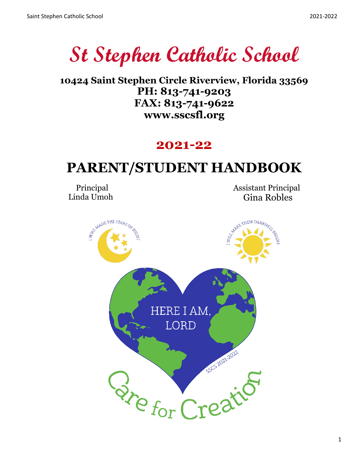**St Stephen Catholic School**

**10424 Saint Stephen Circle Riverview, Florida 33569 PH: 813-741-9203 FAX: 813-741-9622 www.sscsfl.org**

## **2021-22**

# **PARENT/STUDENT HANDBOOK**

 Principal Linda Umoh

 Assistant Principal Gina Robles

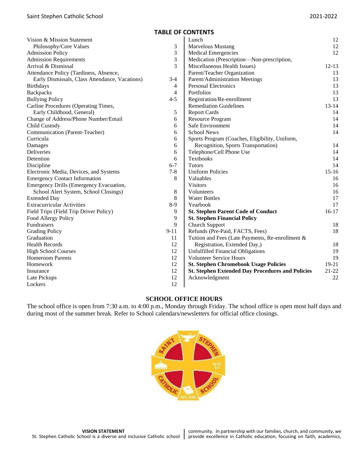## **TABLE OF CONTENTS**

| Vision & Mission Statement                     |                | Lunch                                                   | 12        |
|------------------------------------------------|----------------|---------------------------------------------------------|-----------|
| Philosophy/Core Values                         | 3              | <b>Marvelous Mustang</b>                                | 12        |
| <b>Admission Policy</b>                        | 3              | <b>Medical Emergencies</b>                              | 12        |
| <b>Admission Requirements</b>                  | 3              | Medication (Prescription-Non-prescription,              |           |
| Arrival & Dismissal                            | 3              | Miscellaneous Health Issues)                            | $12 - 13$ |
| Attendance Policy (Tardiness, Absence,         |                | Parent/Teacher Organization                             | 13        |
| Early Dismissals, Class Attendance, Vacations) | $3 - 4$        | Parent/Administration Meetings                          | 13        |
| <b>Birthdays</b>                               | $\overline{4}$ | <b>Personal Electronics</b>                             | 13        |
| <b>Backpacks</b>                               | $\overline{4}$ | Portfolios                                              | 13        |
| <b>Bullying Policy</b>                         | $4 - 5$        | Registration/Re-enrollment                              | 13        |
| Carline Procedures (Operating Times,           |                | <b>Remediation Guidelines</b>                           | $13 - 14$ |
| Early Childhood, General)                      | 5              | <b>Report Cards</b>                                     | 14        |
| Change of Address/Phone Number/Email           | 6              | <b>Resource Program</b>                                 | 14        |
| Child Custody                                  | 6              | Safe Environment                                        | 14        |
| Communication (Parent-Teacher)                 | 6              | <b>School News</b>                                      | 14        |
| Curricula                                      | 6              | Sports Program (Coaches, Eligibility, Uniform,          |           |
| Damages                                        | 6              | Recognition, Sports Transportation)                     | 14        |
| Deliveries                                     | 6              | Telephone/Cell Phone Use                                | 14        |
| Detention                                      | 6              | Textbooks                                               | 14        |
| Discipline                                     | $6 - 7$        | <b>Tutors</b>                                           | 14        |
| Electronic Media, Devices, and Systems         | $7 - 8$        | <b>Uniform Policies</b>                                 | $15-16$   |
| <b>Emergency Contact Information</b>           | 8              | Valuables                                               | 16        |
| Emergency Drills (Emergency Evacuation,        |                | <b>Visitors</b>                                         | 16        |
| School Alert System, School Closings)          | 8              | Volunteers                                              | 16        |
| <b>Extended Day</b>                            | 8              | <b>Water Bottles</b>                                    | 17        |
| <b>Extracurricular Activities</b>              | $8-9$          | Yearbook                                                | 17        |
| Field Trips (Field Trip Driver Policy)         | 9              | <b>St. Stephen Parent Code of Conduct</b>               | $16-17$   |
| Food Allergy Policy                            | 9              | <b>St. Stephen Financial Policy</b>                     |           |
| Fundraisers                                    | 9              | Church Support                                          | 18        |
| <b>Grading Policy</b>                          | $9 - 11$       | Refunds (Pre-Paid, FACTS, Fees)                         | 18        |
| Graduation                                     | 11             | Tuition and Fees (Late Payments, Re-enrollment &        |           |
| <b>Health Records</b>                          | 12             | Registration, Extended Day,)                            | 18        |
| <b>High School Courses</b>                     | 12             | <b>Unfulfilled Financial Obligations</b>                | 19        |
| <b>Homeroom Parents</b>                        | 12             | <b>Volunteer Service Hours</b>                          | 19        |
| Homework                                       | 12             | <b>St. Stephen Chromebook Usage Policies</b>            | 19-21     |
| Insurance                                      | 12             | <b>St. Stephen Extended Day Procedures and Policies</b> | 21-22     |
| Late Pickups                                   | 12             | Acknowledgment                                          | 22        |
| Lockers                                        | 12             |                                                         |           |

## **SCHOOL OFFICE HOURS**

The school office is open from 7:30 a.m. to 4:00 p.m., Monday through Friday. The school office is open most half days and during most of the summer break. Refer to School calendars/newsletters for official office closings.

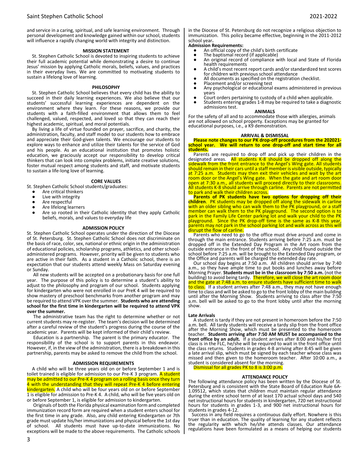and service in a caring, spiritual, and safe learning environment. Through personal development and knowledge gained within our school, students will influence a rapidly changing world with integrity and distinction.

#### **MISSION STATEMENT**

St. Stephen Catholic School is devoted to inspiring students to achieve their full academic potential while demonstrating a desire to continue Jesus' mission by applying Catholic morals, beliefs, values, and practices in their everyday lives. We are committed to motivating students to sustain a lifelong love of learning.

#### **PHILOSOPHY**

St. Stephen Catholic School believes that every child has the ability to succeed in their daily learning experiences. We also believe that our students' successful learning experiences are dependent on the environment where they learn. For these reasons, we provide our students with a faith-filled environment that allows them to feel challenged, valued, respected, and loved so that they can reach their highest academic, spiritual, and moral potentials.

By living a life of virtue founded on prayer, sacrifice, and charity, the administration, faculty, and staff model to our students how to embrace and appreciate their God-given talents. We encourage our students to explore ways to enhance and utilize their talents for the service of God and his people. As an educational institution that promotes holistic education, we graciously accept our responsibility to develop critical thinkers that can look into complex problems, initiate creative solutions, foster mutual respect among students and staff, and motivate students to sustain a life-long love of learning.

#### **CORE VALUES**

- St. Stephen Catholic School students/graduates:
	- Are critical thinkers
	- Live with integrity
	- Are respectful
	- Are lifelong learners
	- Are so rooted in their Catholic identity that they apply Catholic beliefs, morals, and values to everyday life

#### **ADMISSION POLICY**

St. Stephen Catholic School operates under the direction of the Diocese of St. Petersburg. St. Stephen Catholic School does not discriminate on the basis of race, color, sex, national or ethnic origin in the administration of educational policies, scholarship programs, athletics, and other schooladministered programs. However, priority will be given to students who are active in their faith. As a student in a Catholic school, there is an expectation that our students attend weekly Mass on Saturday evening or Sunday.

All new students will be accepted on a probationary basis for one full year. The purpose of this policy is to determine a student's ability to adjust to the philosophy and program of our school. Students applying for kindergarten who were not enrolled in our PreK 4 will be required to show mastery of preschool benchmarks from another program and may be required to attend VPK over the summer. **Students who are attending school for the first time in kindergarten will be required to attend VPK over the summer.** 

The administrative team has the right to determine whether or not current students may re-register. The team's decision will be determined after a careful review of the student's progress during the course of the academic year. Parents will be kept informed of their child's review.

Education is a partnership. The parent is the primary educator. The responsibility of the school is to support parents in this endeavor. However, if, in the view of the administration, there is a breakdown in this partnership, parents may be asked to remove the child from the school.

#### **ADMISSION REQUIREMENTS**

A child who will be three years old on or before September 1 and is toilet trained is eligible for admission to our Pre-K 3 program. A student may be admitted to our Pre-K 4 program on a rolling basis once they turn 4 with the understanding that they will repeat Pre-K 4 before entering kindergarten. A child who will be four years old on or before September 1 is eligible for admission to Pre-K 4. A child, who will be five years old on or before September 1, is eligible for admission to kindergarten.

Originals of both the Florida physical examination form and completed immunization record form are required when a student enters school for the first time in any grade. Also, any child entering Kindergarten or 7th grade must update his/her immunizations and physical before the 1st day of school. All students must have up-to-date immunizations. No exceptions will be made to the above requirements. The Catholic schools

3

in the Diocese of St. Petersburg do not recognize a religious objection to immunization. This policy became effective, beginning in the 2011-2012 school year**.**

#### **Admission Requirements:**

- An official copy of the child's birth certificate
- The baptismal record (if applicable)
- An original record of compliance with local and State of Florida health requirements
- A child's most recent report cards and/or standardized test scores for children with previous school attendance
- All documents as specified on the registration checklist.
- Placement and/or screening test<br>● Any psychological or educational
- Any psychological or educational exams administered in previous years
- Court orders pertaining to custody of a child when applicable.
- Students entering grades 1-8 may be required to take a diagnostic admissions test.

#### **ANIMALS**

For the safety of all and to accommodate those with allergies, animals are not allowed on school property. Exceptions may be granted for educational purposes, i.e., a K9 demonstration.

## **ARRIVAL & DISMISSAL**

#### **Please note changes to our PK drop-off procedures from the 202021 school year. We will return to one drop-off and start time for all students.**

Parents are required to drop off and pick up their children in the designated areas. All students K-8 should be dropped off along the sidewalk from the front entrance to the Angel's Wing gate. All students should remain in their cars until a staff member is visible outside, typically at 7:25 a.m. Students may then exit their vehicles and wait by the art room door or the Angel's Wing gate. When the gate and art room door open at 7:30 a.m., all students will proceed directly to their classrooms. All students K-8 should arrive through carline. Parents are not permitted to park and walk their children across.

**Parents of PK students have two options for dropping off their children**. PK students may be dropped off along the sidewalk in carline with an older sibling who can walk them to the PK playground, or a staff member can walk them to the PK playground. The second option is to park in the Family Life Center parking lot and walk your child to the PK playground. Since the PK drop-off time is the same as K-8 this year, parents may not park in the school parking lot and walk across as this will disrupt the flow of carline.

Parents who need to go to the office must drive around and come in through the main entrance. Students arriving before 7:25 a.m. must be dropped off in the Extended Day Program in the Art room from the outside entrance in the front of the school. Any child found outside the school before 7:25 a.m. will be brought to the Extended Day program, or the Office and parents will be charged the extended day rate.

Our school day begins at 7:50 a.m. All children should arrive by 7:40 a.m., so they have ample time to put books and lunches away before Morning Prayer. **Students must be in the classroom by 7:50 a.m.** (not the building) to avoid being tardy. Therefore, we will close the art room door and the gate at 7:48 a.m. to ensure students have sufficient time to walk to class. If a student arrives after 7:48 a.m., they may not have enough time to class and will be asked to go to the front lobby of the main building until after the Morning Show. Students arriving to class after the 7:50 a.m. bell will be asked to go to the front lobby until after the morning show.

#### **Late Arrivals**

A student is tardy if they are not present in homeroom before the 7:50 a.m. bell. All tardy students will receive a tardy slip from the front office after the Morning Show, which must be presented to the homeroom teacher. **Students arriving after 7:50 AM MUST be accompanied to the front office by an adult.** If a student arrives after 8:00 and his/her first class is in the FLC, he/she will be required to wait in the front office until the class returns. Students in grades 4-8 arriving after 8:45 will be given a late arrival slip, which must be signed by each teacher whose class was missed and then given to the homeroom teacher. After 10:00 a.m., a student is considered absent for the morning.

Dismissal for all grades PK to 8 is 3:00 p.m.

## **ATTENDANCE POLICY**

The following attendance policy has been written by the Diocese of St. Petersburg and is consistent with the State Board of Education Rule 6A-1.09512, which states that children must maintain regular attendance during the entire school term of at least 170 actual school days and 540 net instructional hours for students in kindergarten, 720 net instructional hours for students in grades 1-3, and 900 net instructional hours for students in grades 4-12.

 Success in any field requires a continuous daily effort. Nowhere is this truer than in education. The quality of learning for any student reflects the regularity with which he*/s*he attends classes. Our attendance regulations have been formulated as a means of helping our students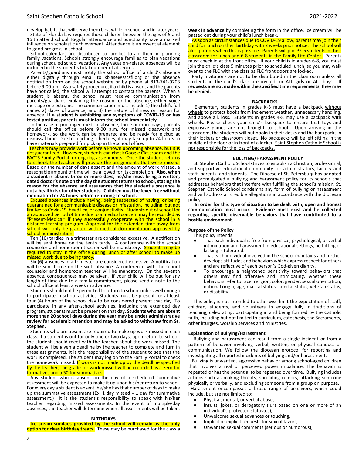develop habits that will serve them best while in school and in later years. State of Florida law requires those children between the ages of 5 and 16 to attend school. Regular attendance and punctuality have a marked influence on scholastic achievement. Attendance is an essential element to good progress in school.

School calendars are distributed to families to aid them in planning family vacations. Schools strongly encourage families to plan vacations during scheduled school vacations. Any vacation-related absences will be included in the student's total number of absences.

 Parents/guardians must notify the school office of a child's absence either digitally through email to kbiase@sscsfl.org or the absence notification form on the school website or by phone at 813-741-9203 before 9:00 a.m. As a safety procedure, if a child is absent and the parents have not called, the school will attempt to contact the parents. When a student is absent, the school must receive communication from parents/guardians explaining the reason for the absence, either voice message or electronic. The communication must include 1) the child's full name, 2) dates of absence, and 3) the nature of illness or reason for absence. **If a student is exhibiting any symptoms of COVID-19 or has tested positive, parents must inform the school immediately**.

 In the case of prolonged medical absence, three or more days, parents should call the office before 9:00 a.m. for missed classwork and homework, so the work can be prepared and be ready for pickup at dismissal time. Due to teaching schedules, it may take up to 24 hours to have materials prepared for pick up in the school office.

 Teachers may provide work before a known upcoming absence, but it is not guaranteed. However, students can check Google Classroom and the FACTS Family Portal for ongoing assignments. Once the student returns to school, the teacher will provide the assignments that were missed. Based on the number of days absent and the amount of work missed, a reasonable amount of time will be allowed for its completion**. Also, when a student is absent three or more days, he/she must bring a written, dated doctor's note on the day the student returns to school, stating the reason for the absence and assurances that the student's presence is not a health risk for other students. Children must be fever-free without medication for 24 hours before returning to school.**

 Excused absences include having, being suspected of having, or being quarantined for a communicable disease or infestation, including, but not limited to Covid-19, head lice, or conjunctivitis. Students out of school for an approved period of time due to a medical concern may be recorded as "Present-Medical" if they successfully cooperate with the school in a distance learning program. Approval for the extended time away from school will only be granted with medical documentation approved by school administration.

 Ten (10) tardies in a trimester are considered excessive. A notification will be sent home on the tenth tardy. A conference with the school counselor and homeroom teacher will be mandatory. Students may be required to stay in the office during lunch or after school to make up missed work due to being tardy.

 Six (6) absences in a trimester are considered excessive. A notification will be sent home on the sixth absence. A conference with the school counselor and homeroom teacher will be mandatory. On the seventh absence, consequences may be given. If your child will be out for any length of time due to a family commitment, please send a note to the school office at least a week in advance.

 Students should not be permitted to return to school unless well enough to participate in school activities. Students must be present for at least four (4) hours of the school day to be considered present that day. To participate in any after-school activities, including the extended day program, students must be present on that day. **Students who are absent more than 20 school days during the year may be under administrative review for academic retention and may be asked to withdraw from St. Stephen.**

 Students who are absent are required to make up work missed in each class. If a student is out for only one or two days, upon return to school, the student should meet with the teacher about the work missed. The student will be given a deadline by the teacher to complete and turn in these assignments. It is the responsibility of the student to see that the work is completed. The student may log on to the Family Portal to check the homework missed. If work is not made up by the deadline specified by the teacher, the grade for work missed will be recorded as a zero for formatives and a 50 for summatives.

 Any student who is absent on the day of a scheduled summative assessment will be expected to make it up upon his/her return to school. For every day a student is absent, he/she has that number of days to make up the summative assessment (Ex. 1 day missed = 1 day for summative assessment.) It is the student's responsibility to speak with his/her teacher regarding missed assessments. In the event of multiple-day absences, the teacher will determine when all assessments will be taken.

#### **BIRTHDAYS**

 **Ice cream sundaes provided by the school will remain as the only option for class birthday treats.** These may be purchased for the class **a**  **week in advance** by completing the form in the office. Ice cream will be passed out during your child's lunch break.

 As soon as circumstances due to COVID-19 allow, parents may join their child for lunch on their birthday with 2 weeks prior notice. The school will alert parents when this is possible. Parents will join PK-5 students in their classroom for lunch and 6-8 students in the Family Life Center. Parents must check in at the front office. If your child is in grades 6-8, you must join the child's class 5 minutes prior to scheduled lunch, so you may walk over to the FLC with the class as FLC front doors are locked.

Party invitations are not to be distributed in the classroom unless all students in the child's class are invited, or ALL girls or ALL boys. **If requests are not made within the specified time requirements, they may be denied.**

#### **BACKPACKS**

Elementary students in grades K-3 must have a backpack without wheels to protect books from inclement weather, unnecessary handling, and above all, loss. Students in grades 4-8 may use a backpack with wheels. Please check your child's backpack to ensure that toys and expensive games are not brought to school. Upon arriving in the classroom, the students will put books in their desks and the backpacks in their lockers or classroom closet. No backpacks will be left sitting in the middle of the floor or in front of a locker. Saint Stephen Catholic School is not responsible for the loss of backpacks.

#### **BULLYING/HARASSMENT POLICY**

St. Stephen Catholic School strives to establish a Christian, professional, and supportive educational community for administrators, faculty and staff, parents, and students. The Diocese of St. Petersburg has adopted and promulgated a bullying and harassment policy for its schools that addresses behaviors that interfere with fulfilling the school's mission. St. Stephen Catholic School condemns any form of bullying or harassment and will address all credible allegations in accordance with the diocesan policy.

**In order for this type of situation to be dealt with, open and honest communication must occur. Evidence must exist and be collected regarding specific observable behaviors that have contributed to a hostile environment.** 

## **Purpose of the Policy**

- This policy intends
- That each individual is free from physical, psychological, or verbal intimidation and harassment in educational settings, no hitting or kicking is tolerated.
- That each individual involved in the school maintains and further develops attitudes and behaviors which express respect for others and are reflective of each person's God-given dignity.
- To encourage a heightened sensitivity toward behaviors that others may find offensive and intimidating, whether these behaviors refer to race, religion, color, gender, sexual orientation, national origin, age, marital status, familial status, veteran status, or disability.

This policy is not intended to otherwise limit the expectation of staff, children, students, and volunteers to engage fully in traditions of teaching, celebrating, participating in and being formed by the Catholic faith, including but not limited to curriculum, catechesis, the Sacraments, other liturgies, worship services and ministries.

#### **Explanation of Bullying/Harassment**

Bullying and harassment can result from a single incident or from a pattern of behavior involving verbal, written, or physical conduct or communication. We follow the diocesan protocol for reporting and investigating all reported incidents of bullying and/or harassment.

 Bullying is unwanted, aggressive behavior among school-aged children that involves a real or perceived power imbalance. The behavior is repeated or has the potential to be repeated over time. Bullying includes actions such as making threats, spreading rumors, attacking someone physically or verbally, and excluding someone from a group on purpose. Harassment encompasses a broad range of behaviors, which could include, but are not limited to:

- Physical, mental, or verbal abuse,
- Insults, jokes, or derogatory slurs based on one or more of an individual's protected status(es),
- Unwelcome sexual advances or touching,
- Implicit or explicit requests for sexual favors,
- Unwanted sexual comments (serious or humorous),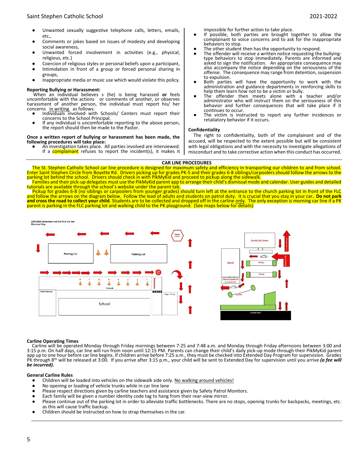## Saint Stephen Catholic School 2021-2022

- Unwanted sexually suggestive telephone calls, letters, emails, etc.,
- Comments or jokes based on issues of modesty and developing social awareness,
- Unwanted forced involvement in activities (e.g., physical, religious, etc.)
- Coercion of religious styles or personal beliefs upon a participant,
- Intimidation in front of a group or forced personal sharing in groups,
- Inappropriate media or music use which would violate this policy.

## **Reporting Bullying or Harassment:**

When an individual believes s (he) is being harassed **or** feels uncomfortable with the actions or comments of another, or observes harassment of another person, the individual must report his/ her concerns in writing as follows:

- Individuals involved with Schools/ Centers must report their concerns to the School Principal.
- If any individual is uncomfortable reporting to the above person, the report should then be made to the Pastor.

#### **Once a written report of bullying or harassment has been made, the following procedures will take place:**

An investigation takes place. All parties involved are interviewed. If a **complainant** refuses to report the incident(s), it makes it impossible for further action to take place.

- If possible, both parties are brought together to allow the complainant to voice concerns and to ask for the inappropriate behaviors to stop.
- The other student then has the opportunity to respond.
- The offender will receive a written notice requesting the bullyingtype behaviors to stop immediately. Parents are informed and asked to sign the notification. An appropriate consequence may also accompany the notice depending on the seriousness of the offense. The consequence may range from detention, suspension to expulsion.
- Both parties will have the opportunity to work with the administration and guidance departments in reinforcing skills to help them learn how not to be a victim or bully.
- The offender then meets alone with a teacher and/or administrator who will instruct them on the seriousness of this behavior and further consequences that will take place if it continues to occur.
- The victim is instructed to report any further incidences or retaliatory behavior if it occurs.

#### **Confidentiality**

The right to confidentiality, both of the complainant and of the accused, will be respected to the extent possible but will be consistent with legal obligations and with the necessity to investigate allegations of misconduct and to take corrective action when this conduct has occurred.

## **CAR LINE PROCEDURES**

The St. Stephen Catholic School car line procedure is designed for maximum safety and efficiency in transporting our children to and from school. Enter Saint Stephen Circle from Boyette Rd. Drivers picking up for grades PK-5 and their grades 6-8 siblings/carpoolers should follow the arrows to the parking lot behind the school. Drivers should check in with PikMyKid and proceed to pickup along the sidewalk. Families and their pick-up delegates must use the PikMyKid parent app to arrange their child's dismissal mode and calendar. User guides and detailed

tutorials are available through the school's website under the parent tab. Pickup for grades 6-8 (no siblings or carpoolers from younger grades) should turn left at the entrance to the church parking lot in front of the FLC and follow the arrows on the diagram below. Follow the lead of adults and students on patrol duty. It is crucial that you stay in your car**. Do not park and cross the road to collect your child**. Students are to be collected and dropped off in the carline only. The only exception is morning car line if a PK parent is parking in the FLC parking lot and walking child to the PK playground. (See maps below for details)



#### **Carline Operating Times**

Carline will be operated Monday through Friday mornings between 7:25 and 7:48 a.m. and Monday through Friday afternoons between 3:00 and 3:15 p.m. On half days, car line will run from noon until 12:15 PM. Parents can change their child's daily pick-up mode through their PikMyKid parent app up to one hour before car line begins. If children arrive before 7:25 a.m., they must be checked into Extended Day Program for supervision. Grades PK through 8<sup>th</sup> will be released at 3:00. If you arrive after 3:15 p.m., your child will be sent to Extended Day for supervision until you arrive *(a fee will be incurred).*

#### **General Carline Rules**

- Children will be loaded into vehicles on the sidewalk side only. No walking around vehicles!
- No opening or loading of vehicle trunks while in car line lane<br>■ Please respect directions given by carline teachers and assista
- Please respect directions given by carline teachers and assistance given by Safety Patrol Monitors.
- Each family will be given a number identity code tag to hang from their rear-view mirror.
- Please continue out of the parking lot in order to alleviate traffic bottlenecks. There are no stops, opening trunks for backpacks, meetings, etc. as this will cause traffic backup.
- Children should be instructed on how to strap themselves in the car.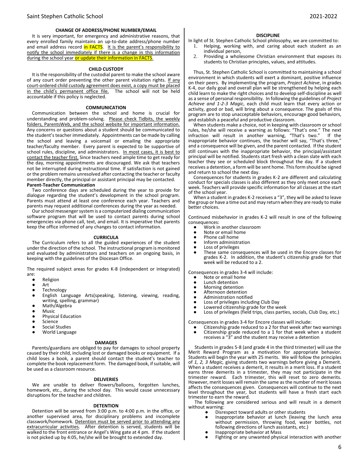#### **CHANGE OF ADDRESS/PHONE NUMBER/EMAIL**

It is very important, for emergency and administrative reasons, that every enrolled family maintains an up-to-date address/phone number and email address record in FACTS. It is the parent's responsibility to notify the school immediately if there is a change in this information during the school year or update their information in FACTS.

#### **CHILD CUSTODY**

It is the responsibility of the custodial parent to make the school aware of any court order preventing the other parent visitation rights. If any court-ordered child custody agreement does exist, a copy must be placed in the child's permanent office file.The school will not be held accountable if this policy is neglected.

#### **COMMUNICATION**

Communication between the school and home is crucial for understanding and problem-solving. Please check Tidbits, the weekly folders, ParentsWeb, and the school website for important information. Any concerns or questions about a student should be communicated to the student's teacher immediately. Appointments can be made by calling the school and leaving a voicemail or emailing the appropriate teacher/faculty member. Every parent is expected to be supportive of school rules, discipline, and administrators. In most cases, it is best to contact the teacher first. Since teachers need ample time to get ready for the day, morning appointments are discouraged. We ask that teachers not be interrupted during instructional time. If satisfaction is not gained or the problem remains unresolved after contacting the teacher or faculty member directly, the principal or assistant principal may be contacted. **Parent-Teacher Communication**

Two conference days are scheduled during the year to provide for dialogue regarding the student's development in the school program. Parents must attend at least one conference each year. Teachers and parents may request additional conferences during the year as needed.

Our school messenger system is a computerized dialing communication software program that will be used to contact parents during school emergencies via phone call, text, and email. It is imperative that parents keep the office informed of any changes to contact information.

#### **CURRICULA**

The Curriculum refers to all the guided experiences of the student under the direction of the school. The instructional program is monitored and evaluated by administrators and teachers on an ongoing basis, in keeping with the guidelines of the Diocesan Office.

The required subject areas for grades K-8 (independent or integrated) are:

- Religion<br>● Art
- Art
- Technology
- English Language Arts(speaking, listening, viewing, reading, writing, spelling, grammar)
- Math/Algebra
- **Music**
- Physical Education<br>● Science
- **Science**
- Social Studies
- World Language

#### **DAMAGES**

Parents/guardians are obliged to pay for damages to school property caused by their child, including lost or damaged books or equipment. If a child loses a book, a parent should contact the student's teacher to complete the book replacement form. The damaged book, if suitable, will be used as a classroom resource.

#### **DELIVERIES**

We are unable to deliver flowers/balloons, forgotten lunches, homework, etc., during the school day. This would cause unnecessary disruptions for the teacher and children.

#### **DETENTION**

Detention will be served from 3:00 p.m. to 4:00 p.m. in the office, or another supervised area, for disciplinary problems and incomplete classwork/homework. Detention must be served prior to attending any extracurricular activities. After detention is served, students will be walked to the front entrance or Angel's Wing gate at 4 pm. If the student is not picked up by 4:05, he/she will be brought to extended day.

#### **DISCIPLINE**

In light of St. Stephen Catholic School philosophy, we are committed to:

- 1. Helping, working with, and caring about each student as an individual person,
- 2. Providing a wholesome Christian environment that exposes its students to Christian principles, values, and attitudes.

Thus, St. Stephen Catholic School is committed to maintaining a school environment in which students will exert a dominant, positive influence on their peers. By implementing the program, *Project Achieve*, in grades K-4, our daily goal and overall plan will be strengthened by helping each child learn to make the right choices and to develop self-discipline as well as a sense of personal responsibility. In following the guidelines of *Project Achieve and 1-2-3 Magic*, each child must learn that every action or activity, good or bad, will bring about a consequence. The goals of this program are to stop unacceptable behaviors, encourage good behaviors, and establish a peaceful and productive classroom.

When students make a choice, not in keeping with classroom or school rules, he/she will receive a warning as follows: "That's one." The next infraction will result in another warning, "That's two." If the inappropriate behavior continues, the teacher will say, "That's three," and a consequence will be given, and the parent contacted. If the student still continues with the inappropriate behavior, the principal/assistant principal will be notified. Students start fresh with a clean slate with each teacher they see or scheduled block throughout the day. If a student receives a detention, a form will be sent home. This form should be signed and return to school the next day.

Consequences for students in grades K-2 are different and calculating conduct for specials classes is also different as they only meet once each week. Teachers will provide specific information for all classes at the start of the school year.

When a student in grades K-2 receives a "3", they will be asked to leave the group or have a time out and may return when they are ready to make better choices.

Continued misbehavior in grades K-2 will result in one of the following consequences:

- Work in another classroom<br>● Note or email home
- Note or email home
- Phone call home<br>• Inform administr
- Inform administration
- Loss of privileges
- These same consequences will be used in the Encore classes for grades K-2. In addition, the student's citizenship grade for that week will be reduced to a 2.

Consequences in grades 3-4 will include:<br>● Note or email home

- Note or email home
- **Lunch detention**
- Morning detention<br>● Afternoon detentio
- Afternoon detention<br>● Administration notific
- Administration notified<br>● Loss of privileges includ
- Loss of privileges including Club Day<br>● Lowered citizenship grade for the we
- Lowered citizenship grade for the week<br>● Loss of privileges (field trips, class partie
- Loss of privileges (field trips, class parties, socials, Club Day, etc.)

Consequences in grades 3-4 for Encore classes will include:

● Citizenship grade reduced to a 2 for that week after two warnings<br>● Citizenship grade reduced to a 1 for that week when a student ● Citizenship grade reduced to a 1 for that week when a student receives a "3" and the student may receive a detention

Students in grades 5-8 (and grade 4 in the third trimester) will use the Merit Reward Program as a motivation for appropriate behavior. Students will begin the year with 25 merits. We will follow the principles of *1, 2, 3 Magic,* giving students two warnings before giving a Demerit. When a student receives a demerit, it results in a merit loss. If a student earns three demerits in a trimester, they may not participate in the trimester reward. Each trimester, this will reset to zero demerits. However, merit losses will remain the same as the number of merit losses affects the consequences given. Consequences will continue to the next level throughout the year, but students will have a fresh start each trimester to earn the reward.

The following are considered serious and will result in a demerit without warning:

- Disrespect toward adults or other students
- Inappropriate behavior at lunch (leaving the lunch area without permission, throwing food, water bottles, not following directions of lunch assistants, etc.)
- Inappropriate behavior at Mass
- Fighting or any unwanted physical interaction with another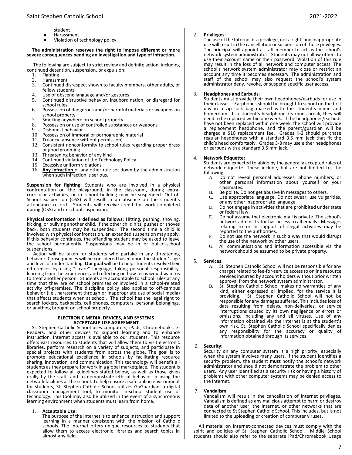- student
- Harassment<br>● Violation of
- Violation of technology policy

#### **The administration reserves the right to impose different or more severe consequences pending an investigation and type of infraction.**

The following are subject to strict review and definite action, including continued detention, suspension, or expulsion:

- 1. Fighting
- 2. Harassment<br>3. Continued d
- 3. Continued disrespect shown to faculty members, other adults, or fellow students
- 4. Use of obscene language and/or gestures<br>5. Continued disruptive behavior, insubordi
- 5. Continued disruptive behavior. insubordination, or disregard for
- school rules 6. Possession of dangerous and/or harmful materials or weapons on school property
- 
- 7. Smoking anywhere on school property<br>8. Possession or use of controlled substan 8. Possession or use of controlled substances or weapons<br>9. Dishonest behavior
- Dishonest behavior
- 10. Possession of immoral or pornographic material
- 11. Truancy (absence without permission)
- 12. Consistent nonconformity to school rules regarding proper dress or good grooming
- 13. Threatening behavior of any kind
- 14. Continued violation of the Technology Policy
- 15. Excessive uniform violations
- 16. **Any infraction** of any other rule set down by the administration when such infraction is serious.

**Suspension for fighting:** Students who are involved in a physical confrontation on the playground, in the classroom, during extracurricular activities, or in school building may be suspended. Out-of-School Suspension (OSS) will result in an absence on the student's attendance record. Students will receive credit for work completed during (OSS) and in-school suspension.

**Physical confrontation is defined as follows:** Hitting, pushing, shoving, kicking, or bullying another child. If the other child hits, pushes or shoves back, both students may be suspended. The second time a child is involved with physical confrontation, an extended suspension may apply. If this behavior continues, the offending student may be asked to leave the school permanently. Suspensions may be in or out-of-school suspensions.

Action will be taken for students who partake in any threatening behavior. Consequences will be considered based upon the student's age and level of understanding. **Our goal** will be to help students resolve their differences by using "I care" language, taking personal responsibility, learning from the experience, and reflecting on how Jesus would want us to treat another person. Students are accountable to school rules at any time that they are on school premises or involved in a school-related activity off-premises. The discipline policy also applies to off-campus behavior (i.e., harassment through or inappropriate use of social media) that affects students when at school. The school has the legal right to search lockers, backpacks, cell phones, computers, personal belongings, or anything brought on school property.

#### **ELECTRONIC MEDIA, DEVICES, AND SYSTEMS ACCEPTABLE USE AGREEMENT**

St. Stephen Catholic School uses computers, iPads, Chromebooks, e-Readers, and other devices to support learning and to enhance instruction. Internet access is available to our students. This resource offers vast resources to students that will allow them to visit electronic libraries, perform research on a variety of subjects, and participate in special projects with students from across the globe. The goal is to promote educational excellence in schools by facilitating resource sharing, innovation, and communication. This technology will benefit all students as they prepare for work in a global marketplace. The student is expected to follow all guidelines stated below, as well as those given orally by the staff, and to demonstrate ethical behavior in using the network facilities at the school. To help ensure a safe online environment for students, St. Stephen Catholic School utilizes GoGuardian, a digital classroom management tool, to monitor in-school student use of technology. This tool may also be utilized in the event of a synchronous learning environment when students must learn from home.

#### 1. **Acceptable Use**:

The purpose of the Internet is to enhance instruction and support learning in a manner consistent with the mission of Catholic schools. The Internet offers unique resources to students that allow them to access electronic libraries and search topics in almost any field.

## 2. **Privileges**:

The use of the Internet is a privilege, not a right, and inappropriate use will result in the cancellation or suspension of those privileges. The principal will appoint a staff member to act as the school's network system administrator. Students may not allow others to use their account name or their password. Violation of this rule may result in the loss of all network and computer access. The school's network system administrator may close or restrict an account any time it becomes necessary. The administration and staff of the school may also request the school's system administrator deny, revoke, or suspend specific user access.

### 3. **Headphones and Earbuds**:

Students must provide their own headphones/earbuds for use in their classes. Earphones should be brought to school on the first day in a zip lock bag marked with the student's name and homeroom. If a student's headphones/earbuds break, they will need to be replaced within one week. If the headphones/earbuds have not been replaced within one week, the school will provide a replacement headphone, and the parent/guardian will be charged a \$10 replacement fee. Grades K-2 should purchase regular headphones with a standard 3.5 mm jack that fit the child's head comfortably. Grades 3-8 may use either headphones or earbuds with a standard 3.5 mm jack.

#### 4. **Network Etiquette**:

Students are expected to abide by the generally accepted rules of network etiquette. These include, but are not limited to, the following:

- A. Do not reveal personal addresses, phone numbers, or other personal information about yourself or your classmates.
- B. Be polite. Do not get abusive in messages to others.<br>C. Use appropriate language. Do not swear, use vulgant
- Use appropriate language. Do not swear, use vulgarities, or any other inappropriate language.
- D. Do not engage in activities that are prohibited under state or federal law.
- E. Do not assume that electronic mail is private. The school's network administrator has access to all emails. Messages relating to or in support of illegal activities may be reported to the authorities.
- F. Do not use the network in such a way that would disrupt the use of the network by other users.
- G. All communications and information accessible via the network should be assumed to be private property.

#### 5. **Services**:

- A. St. Stephen Catholic School will not be responsible for any charges related to fee-for-service access to online resource services incurred by account holders without prior written approval from the network system administrator.
- B. St. Stephen Catholic School makes no warranties of any kind, either expressed or implied, for the service it is providing. St. Stephen Catholic School will not be responsible for any damages suffered. This includes loss of data resulting from delays, non-deliveries, or service interruptions caused by its own negligence or errors or omissions, including any and all viruses. Use of any information obtained via the Internet is at the student's own risk. St. Stephen Catholic School specifically denies any responsibility for the accuracy or quality of information obtained through its services.

## 6. **Security:**

Security on any computer system is a high priority, especially when the system involves many users. If the student identifies a security problem, the student **must** notify the school's network administrator and should not demonstrate the problem to other users. Any user identified as a security risk or having a history of problems with other computer systems may be denied access to the Internet.

## 7. **Vandalism**:

Vandalism will result in the cancellation of Internet privileges. Vandalism is defined as any malicious attempt to harm or destroy data of another user, the Internet, or other networks that are connected to St Stephen Catholic School. This includes, but is not limited to the uploading or creation of computer viruses.

All material on Internet-connected devices must comply with the spirit and policies of St. Stephen Catholic School. Middle School students should also refer to the separate iPad/Chromebook Usage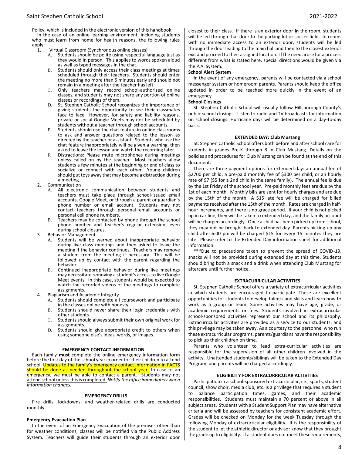Policy, which is included in the electronic version of this handbook.

In the case of an online learning environment, including students who must learn from home for health reasons, the following rules  $apply:$ 

- Virtual Classroom (Synchronous online classes)<br>A. Students should be polite using respectful la
	- Students should be polite using respectful language just as they would in person. This applies to words spoken aloud as well as typed messages in the chat.
	- B. Students should only access their class meetings at times scheduled through their teachers. Students should enter the meeting no more than 5 minutes early and should not remain in a meeting after the teacher has left.
	- C. Only teachers may record school-authorized online classes, and students may not share any portion of online classes or recordings of them.
	- D. St. Stephen Catholic School recognizes the importance of giving students the opportunity to see their classmates face to face. However, for safety and liability reasons, private or social Google Meets may not be scheduled by students without a teacher through school accounts.
	- E. Students should use the chat feature in online classrooms to ask and answer questions related to the lesson as directed by the teacher or assistant. Students who use the chat feature inappropriately will be given a warning, then asked to leave the lesson and watch the recording later.
	- F. Distractions: Please mute microphones during meetings unless called on by the teacher. Most teachers allow students a few minutes at the beginning or end of class to socialize or connect with each other. Young children should put toys away that may become a distraction during a meeting.
- 2. Communication
	- A. All electronic communication between students and teachers must take place through school-issued email accounts, Google Meet, or through a parent or guardian's phone number or email account. Students may not contact teachers through personal email accounts or personal cell phone numbers.
	- B. Teachers may be contacted by phone through the school phone number and teacher's regular extension, even during school closures.
- 3. Behavior Management
	- A. Students will be warned about inappropriate behavior during live class meetings and then asked to leave the meeting if the behavior continues. Teachers may remove a student from the meeting if necessary. This will be followed up by contact with the parent regarding the behavior.
	- B. Continued inappropriate behavior during live meetings may necessitate removing a student's access to live Google Meet events. In this case, students would be expected to watch the recorded videos of the meetings to complete assignments.
- 4. Plagiarism and Academic Integrity
	- A. Students should complete all coursework and participate in the classes online with honesty.
	- B. Students should never share their login credentials with other students.
	- C. Students should always submit their own original work for assignments.
	- D. Students should give appropriate credit to others when using someone else's ideas, words, or images.

#### **EMERGENCY CONTACT INFORMATION**

Each family **must** complete the online emergency information form before the first day of the school year in order for their children to attend school. Updates to the family's emergency contact information in FACTS should be done as needed throughout the school year. In case of an emergency, we must be able to contact a parent. Students may not attend school unless this is completed. *Notify the office immediately when information changes.* 

## **EMERGENCY DRILLS**

Fire drills, lockdowns, and weather-related drills are conducted monthly.

## **Emergency Evacuation Plan**

In the event of an **Emergency Evacuation** of the premises other than for weather conditions, classes will be notified via the Public Address System. Teachers will guide their students through an exterior door closest to their class. If there is an exterior door **in** the room, students will be led through that door to the parking lot or soccer field. In rooms with no immediate access to an exterior door, students will be led through the door leading to the main hall and then to the closest exterior exit and proceed to their assigned location. If the need arose for a process different from what is stated here, special directions would be given via the P.A. System.

#### **School Alert System**

**I**n the event of any emergency, parents will be contacted via a school messenger system or homeroom parents. Parents should keep the office updated in order to be reached more quickly in the event of an emergency.

## **School Closings**

St. Stephen Catholic School will usually follow Hillsborough County's public school closings. Listen to radio and TV broadcasts for information on school closings. Hurricane days will be determined on a day-to-day basis.

### **EXTENDED DAY: Club Mustang**

St. Stephen Catholic School offers both before and after school care for students in grades Pre-K through 8 in Club Mustang. Details on the policies and procedures for Club Mustang can be found at the end of this document.

There are three payment options for extended day: an annual fee of \$2700 per child, a pre-paid monthly fee of \$300 per child, or an hourly rate of \$7 (\$5 for a 2nd child in the same family). The annual fee is due by the 1st Friday of the school year. Pre-paid monthly fees are due by the 1st of each month. Monthly bills are sent for hourly charges and are due by the 15th of the month. A \$15 late fee will be charged for billed payments received after the 15th of the month. Rates are charged in halfhour increments, and there is no grace period. If your child is not picked up in car line, they will be taken to extended day, and the family account will be charged accordingly. Once a child has been picked up from school, they may not be brought back to extended day. Parents picking up any child after 6:00 pm will be charged \$15 for every 15 minutes they are late. Please refer to the Extended Day information sheet for additional information.

\*\*\*Due to precautions taken to prevent the spread of COVID-19, snacks will not be provided during extended day at this time. Students should bring both a snack and a drink when attending Club Mustang for aftercare until further notice.

## **EXTRACURRICULAR ACTIVITIES**

St. Stephen Catholic School offers a variety of extracurricular activities in which students are encouraged to participate. These are excellent opportunities for students to develop talents and skills and learn how to work as a group or team. Some activities may have age, grade, or academic requirements or fees. Students involved in extracurricular school-sponsored activities represent our school and its philosophy. Extracurricular activities are provided as a service to our students, and this privilege may be taken away. As a courtesy to the personnel who run these extracurricular programs, parents/guardians have the responsibility to pick up their children on time.

Parents who volunteer to lead extra-curricular activities are responsible for the supervision of all other children involved in the activity. Unattended students/siblings will be taken to the Extended Day Program, and parents will be charged accordingly.

#### **ELIGIBILITY FOR EXTRACURRICULAR ACTIVITIES**

Participation in a school-sponsored extracurricular, i.e., sports, student council, show choir, media club, etc. is a privilege that requires a student to balance participation times, games, and their academic responsibilities. Students must maintain a 70 percent or above in all subject areas. Students with a Student Support Plan may have alternative criteria and will be assessed by teachers for consistent academic effort. Grades will be checked on Monday for the week Tuesday through the following Monday of extracurricular eligibility. It is the responsibility of the student to let the athletic director or advisor know that they brought the grade up to eligibility. If a student does not meet these requirements,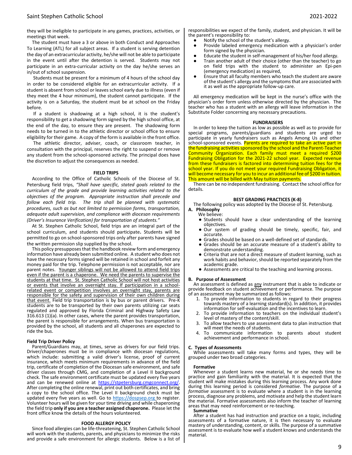they will be ineligible to participate in any games, practices, activities, or meetings that week.

The student must have a 3 or above in both Conduct and Approaches To Learning (ATL) for all subject areas. If a student is serving detention the day of an extracurricular activity, he/she will not be able to participate in the event until after the detention is served. Students may not participate in an extra-curricular activity on the day he/she serves an in/out of school suspension.

Students must be present for a minimum of 4 hours of the school day in order to be considered eligible for an extracurricular activity. If a student is absent from school or leaves school early due to illness (even if they meet the 4 hour minimum), the student cannot participate. If the activity is on a Saturday, the student must be at school on the Friday before.

If a student is shadowing at a high school, it is the student's responsibility to get a shadowing form signed by the high school office, at the end of the day, to ensure they are present. The shadowing form needs to be turned in to the athletic director or school office to ensure eligibility for their game. A copy of the form is available in the front office.

The athletic director, adviser, coach, or classroom teacher, in consultation with the principal, reserves the right to suspend or remove any student from the school-sponsored activity. The principal does have the discretion to adjust the consequences as needed.

#### **FIELD TRIPS**

According to the Office of Catholic Schools of the Diocese of St. Petersburg field trips, *"Shall have specific, stated goals related to the curriculum of the grade and provide learning activities related to the objectives of the program. Appropriate instruction shall precede and follow each field trip. The trip shall be planned with systematic procedures, such as but not limited to permission forms, transportation, adequate adult supervision, and compliance with diocesan requirements (Driver's Insurance Verification) for transportation of students."* 

At St. Stephen Catholic School, field trips are an integral part of the school curriculum, and students should participate**.** Students will be permitted to go on school-sponsored trips only after parents have signed the written permission slip supplied by the school.

This policy presupposes that the handbook review form and emergency information have already been submitted online. A student who does not have the necessary forms signed will be retained in school and forfeit any money paid for the trip. Telephone permission is not acceptable, nor are parent notes. Younger siblings will not be allowed to attend field trips even if the parent is a chaperone. We need the parents to supervise the students at that time. St. Stephen Catholic School will not host activities or events that involve an overnight stay. If participation in a schoolrelated event or competition involves an overnight stay, parents are responsible for the safety and supervision of their own children during that event. Field trip transportation is by bus or parent drivers. Pre-K students are to be transported by their own parents utilizing car seats regulated and approved by Florida Criminal and Highway Safety Law 316.613 (1)(a). In other cases, where the parent provides transportation, the parent is responsible for arrangements. When bus transportation is provided by the school, all students and all chaperones are expected to ride the bus.

#### **Field Trip Driver Policy**

Parent/Guardians may, at times, serve as drivers for our field trips. Driver/chaperones must be in compliance with diocesan regulations, which include: submitting a valid driver's license, proof of current insurance, which meets minimum requirements in advance of the field trip, certificate of completion of the Diocesan safe environment, and safe driver classes through CMG, and completion of a Level II background check. The safe environment certificate must be updated every five years and can be renewed online at https://stpetersburg.cmgconnect.org/. After completing the online renewal, print out both certificates, and bring a copy to the school office. The Level II background check must be updated every five years as well. Go to [https://dospsep.org](https://dospsep.org/) to register. Volunteer hours will be given for your time driving and while chaperoning the field trip **only if you are a teacher assigned chaperone.** Please let the front office know the details of the hours volunteered.

#### **FOOD ALLERGY POLICY**

Since food allergies can be life-threatening, St. Stephen Catholic School will work with the students, parents, and physicians to minimize the risks and provide a safe environment for allergic students. Below is a list of responsibilities we expect of the family, student, and physician. It will be the parent's responsibility to:

- Notify the school of the student's allergy.<br>● Provide labeled emergency medication
- Provide labeled emergency medication with a physician's order form signed by the physician.
- Educate the student in self-management of his/her food allergy.
- Train another adult of their choice (other than the teacher) to go on field trips with the student to administer an Epi-pen (emergency medication) as required,
- Ensure that all faculty members who teach the student are aware of the student's allergy and the symptoms that are associated with it as well as the appropriate follow-up care.

All emergency medication will be kept in the nurse's office with the physician's order form unless otherwise directed by the physician. The teacher who has a student with an allergy will leave information in the Substitute Folder concerning any necessary precautions.

#### **FUNDRAISERS**

In order to keep the tuition as low as possible as well as to provide for special programs, parents/guardians and students are urged to participate in yearly fundraisers such as Angels Among Us and other school-sponsored events. Parents are required to take an active part in the fundraising activities sponsored by the school and the Parent-Teacher Community Organization. Each family must meet a required \$200 Fundraising Obligation for the 2021-22 school year. Expected revenue from these fundraisers is factored into determining tuition fees for the school year. If you do not meet your required Fundraising Obligation, it will become necessary for you to incur an additional fee of \$200 in tuition. This amount will be billed with May tuition payments.

There can be no independent fundraising. Contact the school office for details.

#### **BEST GRADING PRACTICES (K-8)**

The following policy was adopted by the Diocese of St. Petersburg. **A. Philosophy**

## We believe:

- Students should have a clear understanding of the learning objectives.
- Our system of grading should be timely, specific, fair, and accurate.
- Grades should be based on a well-defined set of standards.
- Grades should be an accurate measure of a student's ability to demonstrate understanding.
- Criteria that are not a direct measure of student learning, such as work habits and behavior, should be reported separately from the academic grade.
- Assessments are critical to the teaching and learning process.

#### **B. Purpose of Assessment**

An assessment is defined as any instrument that is able to indicate or provide feedback on student achievement or performance. The purpose of an assessment may be summarized as follows:

- 1. To provide information to students in regard to their progress towards mastery of a learning standard(s). In addition, it provides information for self-evaluation and the incentives to learn.
- 2. To provide information to teachers on the individual student's level of mastery of the content/skill.
- 3. To allow teachers to use assessment data to plan instruction that will meet the needs of students.<br>To communicate information
- 4. To communicate information to parents about student achievement and performance in school.

#### **C. Types of Assessments**

While assessments will take many forms and types, they will be grouped under two broad categories.

#### **Formative**

Whenever a student learns new material, he or she needs time to practice and gain familiarity with the material. It is expected that the student will make mistakes during this learning process. Any work done during this learning period is considered *formative*. The purpose of a *formative* assessment is to evaluate where a student is in the learning process, diagnose any problems, and motivate and help the student learn the material. Formative assessments also inform the teacher of learning areas that may need reinforcement or re-teaching.

#### **Summative**

After a student has had instruction and practice on a topic, including assessments of a formative nature, it is then necessary to evaluate mastery of understanding, content, or skills. The purpose of a summative assessment is to evaluate how well a student knows and understands the material.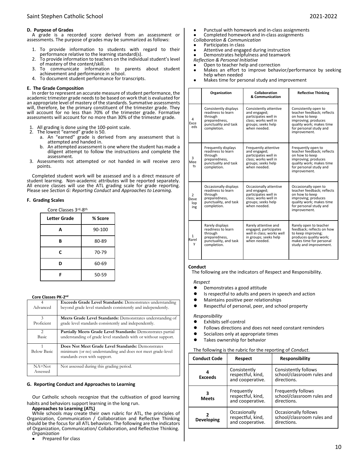## **D. Purpose of Grades**

A grade is a recorded score derived from an assessment or assessments. The purpose of grades may be summarized as follows:

- 1. To provide information to students with regard to their performance relative to the learning standard(s).
- To provide information to teachers on the individual student's level of mastery of the content/skill.
- 3. To communicate information to parents about student achievement and performance in school.
- 4. To document student performance for transcripts.

### **E. The Grade Composition**

In order to represent an accurate measure of student performance, the academic trimester grade needs to be based on work that is evaluated for an appropriate level of mastery of the standards. Summative assessments will, therefore, be the primary constituent of the trimester grade. They will account for no less than 70% of the trimester grade. Formative assessments will account for no more than 30% of the trimester grade.

- All grading is done using the 100-point scale.
- 2. The lowest "earned" grade is 50.
	- a. An "earned" grade is derived from any assessment that is attempted and handed in.
	- b. An attempted assessment is one where the student has made a diligent attempt to follow the instructions and complete the assessment.
- 3. Assessments not attempted or not handed in will receive zero points.

Completed student work will be assessed and is a direct measure of student learning. Non-academic attributes will be reported separately. All encore classes will use the ATL grading scale for grade reporting. Please see *Section G: Reporting Conduct* and *Approaches to Learning.* 

### **F. Grading Scales**

| Core Classes 3rd-8th |         |
|----------------------|---------|
| Letter Grade         | % Score |
| A                    | 90-100  |
| в                    | 80-89   |
| C                    | 70-79   |
| D                    | 60-69   |
|                      | 50-59   |

#### **Core Classes PK-2<sup>nd</sup>**

| LUIE LIASSES FIV-4 |                                                                  |
|--------------------|------------------------------------------------------------------|
| 4                  | <b>Exceeds Grade Level Standards:</b> Demonstrates understanding |
| Advanced           | beyond grade level standards consistently and independently.     |
|                    |                                                                  |
| $\mathcal{R}$      | Meets Grade Level Standards: Demonstrates understanding of       |
| Proficient         | grade level standards consistently and independently.            |
| $\mathfrak{D}$     |                                                                  |
|                    | Partially Meets Grade Level Standards: Demonstrates partial      |
| <b>Basic</b>       | understanding of grade level standards with or without support.  |
|                    |                                                                  |
|                    | Does Not Meet Grade Level Standards: Demonstrates                |
| <b>Below Basic</b> | minimum (or no) understanding and does not meet grade-level      |
|                    | standards even with support.                                     |
|                    |                                                                  |
| $NA = Not$         | Not assessed during this grading period.                         |
| Assessed           |                                                                  |

#### **G. Reporting Conduct and Approaches to Learning**

Our Catholic schools recognize that the cultivation of good learning habits and behaviors support learning in the long run.

#### **Approaches to Learning (ATL)**

While schools may create their own rubric for ATL, the principles of Organization, Communication / Collaboration and Reflective Thinking should be the focus for all ATL behaviors. The following are the indicators of Organization, Communication/ Collaboration, and Reflective Thinking. *Organization*

Prepared for class

- Punctual with homework and in-class assignments
- Completed homework and in-class assignments
- *Collaboration & Communication*
- Participates in class
- Attentive and engaged during instruction

Demonstrates helpfulness and teamwork *Reflection & Personal Initiative* 

- Open to teacher help and correction
	- Makes an effort to improve behavior/performance by seeking help when needed
- Makes time for personal study and improvement

|                         | Organization                                                                                                    | Collaboration<br>& Communication                                                                                             | <b>Reflective Thinking</b>                                                                                                                                        |
|-------------------------|-----------------------------------------------------------------------------------------------------------------|------------------------------------------------------------------------------------------------------------------------------|-------------------------------------------------------------------------------------------------------------------------------------------------------------------|
| 4<br>Exce<br>eds        | Consistently displays<br>readiness to learn<br>through<br>preparedness,<br>punctuality and task<br>completion.  | Consistently attentive<br>and engaged;<br>participates well in<br>class: works well in<br>groups; seeks help<br>when needed. | Consistently open to<br>teacher feedback; reflects<br>on how to keep<br>improving; produces<br>quality work; makes time<br>for personal study and<br>improvement. |
| 3<br>Mee<br>ts          | Frequently displays<br>readiness to learn<br>through<br>preparedness,<br>punctuality and task<br>completion.    | Frequently attentive<br>and engaged;<br>participates well in<br>class: works well in<br>groups; seeks help<br>when needed.   | Frequently open to<br>teacher feedback; reflects<br>on how to keep<br>improving; produces<br>quality work; makes time<br>for personal study and<br>improvement.   |
| 2<br>Deve<br>lop<br>ing | Occasionally displays<br>readiness to learn<br>through<br>preparedness,<br>punctuality, and task<br>completion. | Occasionally attentive<br>and engaged;<br>participates well in<br>class; works well in<br>groups; seeks help<br>when needed. | Occasionally open to<br>teacher feedback; reflects<br>on how to keep<br>improving; produces<br>quality work; makes time<br>for personal study and<br>improvement. |
| 1<br>Rarel<br>У         | Rarely displays<br>readiness to learn<br>through<br>preparedness,<br>punctuality, and task<br>completion.       | Rarely attentive and<br>engaged; participates<br>well in class; works well<br>in groups; seeks help<br>when needed.          | Rarely open to teacher<br>feedback; reflects on how<br>to keep improving;<br>produces quality work;<br>makes time for personal<br>study and improvement.          |

## **Conduct**

The following are the indicators of Respect and Responsibility.

## *Respect*

- Demonstrates a good attitude
- Is respectful to adults and peers in speech and action
- Maintains positive peer relationships
- Respectful of personal, peer, and school property

### *Responsibility*

- **Exhibits self-control**
- Follows directions and does not need constant reminders
- Socializes only at appropriate times
- Takes ownership for behavior

#### The following is the rubric for the reporting of *Conduct*.

| <b>Conduct Code</b>                                                 | <b>Respect</b>                                        | <b>Responsibility</b>                                                    |
|---------------------------------------------------------------------|-------------------------------------------------------|--------------------------------------------------------------------------|
| <b>Exceeds</b>                                                      | Consistently<br>respectful, kind,<br>and cooperative. | Consistently follows<br>school/classroom rules and<br>directions.        |
| Frequently<br>respectful, kind,<br><b>Meets</b><br>and cooperative. |                                                       | <b>Frequently follows</b><br>school/classroom rules and<br>directions.   |
| <b>Developing</b>                                                   | Occasionally<br>respectful, kind,<br>and cooperative. | <b>Occasionally follows</b><br>school/classroom rules and<br>directions. |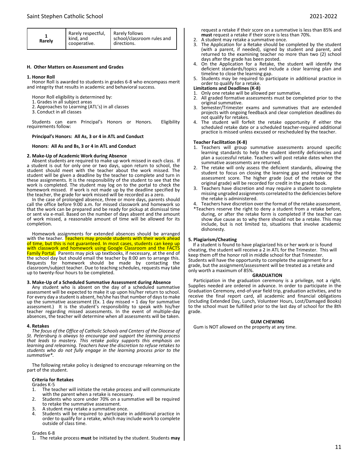| Rarely | Rarely respectful,<br>kind, and<br>cooperative. | <b>Rarely follows</b><br>school/classroom rules and<br>directions. |  |
|--------|-------------------------------------------------|--------------------------------------------------------------------|--|
|--------|-------------------------------------------------|--------------------------------------------------------------------|--|

#### **H. Other Matters on Assessment and Grades**

#### **1. Honor Roll**

Honor Roll is awarded to students in grades 6-8 who encompass merit and integrity that results in academic and behavioral success.

Honor Roll eligibility is determined by:

- 1. Grades in all subject areas
- 2. Approaches to Learning (ATL's) in all classes
- 3. Conduct in all classes

Students can earn Principal's Honors or Honors. Eligibility requirements follow:

#### **Principal's Honors: All As, 3 or 4 in ATL and Conduct**

#### **Honors**: **All As and Bs, 3 or 4 in ATL and Conduct**

#### **2. Make-Up of Academic Work during Absence**

Absent students are required to make up work missed in each class. If a student is out for only one or two days, upon return to school, the student should meet with the teacher about the work missed. The student will be given a deadline by the teacher to complete and turn in these assignments. It is the responsibility of the student to see that the work is completed. The student may log on to the portal to check the homework missed. If work is not made up by the deadline specified by the teacher, the grade for work missed will be recorded as a zero.

In the case of prolonged absence, three or more days, parents should call the office before 9:00 a.m. for missed classwork and homework so that the work can be prepared and be ready for pickup at dismissal time or sent via e-mail. Based on the number of days absent and the amount of work missed, a reasonable amount of time will be allowed for its completion.

Homework assignments for extended absences should be arranged with the teacher. Teachers may provide students with their work ahead of time, but this is not guaranteed. In most cases, students can keep up with classwork and homework using Google Classroom and the FACTS Family Portal. Parents may pick up textbooks, if necessary, at the end of the school day but should email the teacher by 8:00 am to arrange this. Requests for homework should be made by contacting the classroom/subject teacher. Due to teaching schedules, requests may take up to twenty-four hours to be completed.

## **3. Make-Up of a Scheduled Summative Assessment during Absence**

Any student who is absent on the day of a scheduled summative assessment will be expected to make it up upon his/her return to school. For every day a student is absent, he/she has that number of days to make up the summative assessment (Ex. 1 day missed = 1 day for summative assessment.) It is the student's responsibility to speak with his/her teacher regarding missed assessments. In the event of multiple-day absences, the teacher will determine when all assessments will be taken.

#### **4. Retakes**

The focus of the Office of Catholic Schools and Centers of the Diocese of *St. Petersburg is always to encourage and support the learning process that leads to mastery. This retake policy supports this emphasis on learning and relearning. Teachers have the discretion to refuse retakes to students who do not fully engage in the learning process prior to the summative\*.*

The following retake policy is designed to encourage relearning on the part of the student.

#### **Criteria for Retakes**

Grades K-5<br>1. The te

- The teacher will initiate the retake process and will communicate with the parent when a retake is necessary.
- 2. Students who score under 70% on a summative will be required to retake the summative assessment.
- 3. A student may retake a summative once.
- Students will be required to participate in additional practice in order to qualify for a retake, which may include work to complete outside of class time.

#### Grades 6-8

1. The retake process **must** be initiated by the student. Students **may**

request a retake if their score on a summative is less than 85% and **must** request a retake if their score is less than 70%.

- 2. A student may retake a summative once.
- 3. The Application for a Retake should be completed by the student (with a parent, if needed), signed by student and parent, and returned to the examining teacher no more than two (2) school days after the grade has been posted.
- 4. On the Application for a Retake, the student will identify the deficient standards/topics and include a clear learning plan and timeline to close the learning gap.
- 5. Students may be required to participate in additional practice in order to qualify for a retake.

## **Limitations and Deadlines (K-8)**

- 1. Only one retake will be allowed per summative.
- All graded formative assessments must be completed prior to the original summative.
- Semester/Trimester exams and summatives that are extended projects with ongoing feedback and clear completion deadlines do not qualify for retakes.
- 4. The student will forfeit the retake opportunity if either the scheduled retake date or a scheduled teacher-required additional practice is missed unless excused or rescheduled by the teacher.

#### **Teacher Facilitation (K-8)**

- 1. Teachers will group summative assessments around specific learning standards to help the student identify deficiencies and plan a successful retake. Teachers will post retake dates when the summative assessments are returned.
- 2. The retake will only assess the deficient standards, allowing the student to focus on closing the learning gap and improving the assessment score. The higher grade (out of the retake or the original grade) will be recorded for credit in the grade book.
- 3. Teachers have discretion and may require a student to complete missing ungraded assignments correlated to the deficiencies before the retake is administered.
- 4. Teachers have discretion over the format of the retake assessment. \*Teachers reserve the right to deny a student from a retake before, during, or after the retake form is completed if the teacher can show due cause as to why there should not be a retake. This may include, but is not limited to, situations that involve academic dishonesty.

## **5. Plagiarism/Cheating**

If a student is found to have plagiarized his or her work or is found cheating, the student will receive a 2 in ATL for the Trimester. This will keep them off the honor roll in middle school for that Trimester. Students will have the opportunity to complete the assignment for a grade, but the assignment/assessment will be treated as a retake and only worth a maximum of 85%.

#### **GRADUATION**

Participation in the graduation ceremony is a privilege, not a right. Supplies needed are ordered in advance. In order to participate in the Graduation Ceremony, end-of-year field trip, graduation activities, and to receive the final report card, all academic and financial obligations (including Extended Day, Lunch, Volunteer Hours, Lost/Damaged Books) to the school must be fulfilled prior to the last day of school for the 8th grade.

#### **GUM CHEWING**

Gum is NOT allowed on the property at any time.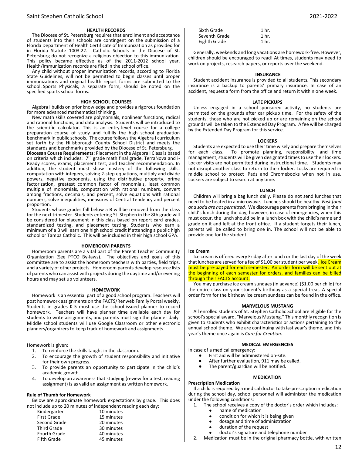#### **HEALTH RECORDS**

The Diocese of St. Petersburg requires that enrollment and acceptance of students into their schools are contingent on the submission of a Florida Department of Health Certificate of Immunization as provided for in Florida Statute 1003.22. Catholic Schools in the Diocese of St. Petersburg do not recognize a religious objection to this immunization. This policy became effective as of the 2011-2012 school year. Health/Immunization records are filed in the school office.

Any child without proper immunization records, according to Florida State Guidelines, will not be permitted to begin classes until proper immunizations and original health report forms are submitted to the school. Sports Physicals, a separate form, should be noted on the specified sports school forms.

#### **HIGH SCHOOL COURSES**

Algebra I builds on prior knowledge and provides a rigorous foundation for more advanced mathematical thinking.

New math skills covered are polynomials, nonlinear functions, radical and rational functions, and data analysis. Students will be introduced to the scientific calculator. This is an entry-level course for a college preparation course of study and fulfills the high school graduation benchmark in public schools. The course follows the Algebra I curriculum set forth by the Hillsborough County School District and meets the standards and benchmarks provided by the Diocese of St. Petersburg.

**Diocesan Course Requirements:** Placement in the Algebra I Class is based on criteria which includes: 7th grade math final grade, TerraNova and i-Ready scores, exams, placement test, and teacher recommendation. In addition, the student must show mastery of the following skills: computation with integers, solving 2-step equations, multiply and divide powers, negative exponents, using the distributive property, prime factorization, greatest common factor of monomials, least common multiple of monomials, computation with rational numbers, convert among fractions, decimals, and percent, solve equations with rational numbers, solve inequalities, measures of Central Tendency and percent proportion.

Students whose grades fall below a B will be removed from the class for the next trimester. Students entering St. Stephen in the 8th grade will be considered for placement in this class based on report card grades, standardized testing, and placement testing. Students who earn a minimum of a B will earn one high school credit if attending a public high school or Tampa Catholic. This will be included in their high school GPA.

#### **HOMEROOM PARENTS**

Homeroom parents are a vital part of the Parent Teacher Community Organization (See PTCO By-laws). The objectives and goals of this committee are to assist the homeroom teachers with parties, field trips, and a variety of other projects. Homeroom parents develop resource lists of parents who can assist with projects during the daytime and/or evening hours and may set up volunteers.

#### **HOMEWORK**

Homework is an essential part of a good school program. Teachers will post homework assignments on the FACTS/Renweb Family Portal weekly. Students in grades K-5 must use the school-issued planner to record homework. Teachers will have planner time available each day for students to write assignments, and parents must sign the planner daily. Middle school students will use Google Classroom or other electronic planners/organizers to keep track of homework and assignments.

Homework is given:

- 1. To reinforce the skills taught in the classroom.<br>2. To encourage the growth of student responsi
- 2. To encourage the growth of student responsibility and initiative for their own progress.
- 3. To provide parents an opportunity to participate in the child's academic growth.
- To develop an awareness that studying (review for a test, reading assignment) is as valid an assignment as written homework.

#### **Rule of Thumb for Homework**

Below are approximate homework expectations by grade. This does not include up to 20 minutes of independent reading each day:

| Kindergarten        | 10 minutes |
|---------------------|------------|
| <b>First Grade</b>  | 15 minutes |
| Second Grade        | 20 minutes |
| <b>Third Grade</b>  | 30 minutes |
| <b>Fourth Grade</b> | 40 minutes |
| <b>Fifth Grade</b>  | 45 minutes |
|                     |            |

| Sixth Grade   | 1 <sub>hr</sub>  |
|---------------|------------------|
| Seventh Grade | 1 hr.            |
| Eighth Grade  | 1 <sub>hr.</sub> |

Generally, weekends and long vacations are homework-free. However, children should be encouraged to read! At times, students may need to work on projects, research papers, or reports over the weekend.

#### **INSURANCE**

Student accident insurance is provided to all students. This secondary insurance is a backup to parents' primary insurance. In case of an accident, request a form from the office and return it within one week.

#### **LATE PICKUPS**

Unless engaged in a school-sponsored activity, no students are permitted on the grounds after car pickup time. For the safety of the students, those who are not picked up or are remaining on the school grounds will be taken to the Extended Day Program. A fee will be charged by the Extended Day Program for this service.

#### **LOCKERS**

Students are expected to use their time wisely and prepare themselves for each class. To promote planning, responsibility, and time management, students will be given designated times to use their lockers. Locker visits are not permitted during instructional time. Students may not disrupt another class to return to their locker. Locks are required in middle school to protect iPads and Chromebooks when not in use. Lockers are subject to search at any time.

#### **LUNCH**

Children will bring a bag lunch daily. Please do not send lunches that need to be heated in a microwave. Lunches should be healthy. *Fast food and soda are not permitted.* We discourage parents from bringing in their child's lunch during the day; however, in case of emergencies, when this must occur, the lunch should be in a lunch box with the child's name and grade on it and left at the front office. If a student forgets their lunch, parents will be called to bring one in. The school will not be able to provide one for the student.

#### **Ice Cream**

Ice cream is offered every Friday after lunch or the last day of the week that lunches are served for a fee of \$1.00 per student per week. Ice Cream must be pre-payed for each semester. An order form will be sent out at the beginning of each semester for orders, and families can be billed through their FACTS account.

You may purchase ice cream sundaes (in advance) (\$1.00 per child) for the entire class on your student's birthday as a special treat. A special order form for the birthday ice cream sundaes can be found in the office.

#### **MARVELOUS MUSTANG**

All enrolled students of St. Stephen Catholic School are eligible for the school's special award, "Marvelous Mustang." This monthly recognition is given to students who exhibit characteristics or actions pertaining to the annual school theme. We are continuing with last year's theme, and this year's theme once again is *Care for Creation.*

### **MEDICAL EMERGENCIES**

In case of a medical emergency:

- First aid will be administered on-site.
- After further evaluation, 911 may be called.
- The parent/guardian will be notified.

#### **MEDICATION**

**Prescription Medication** If a child is required by a medical doctor to take prescription medication during the school day, school personnel will administer the medication under the following conditions:

- 1. The school receives a copy of the doctor's order which includes:
	- name of medication
	- condition for which it is being given
	- dosage and time of administration
	- duration of the request
	- doctor's signature and telephone number
- 2. Medication must be in the original pharmacy bottle, with written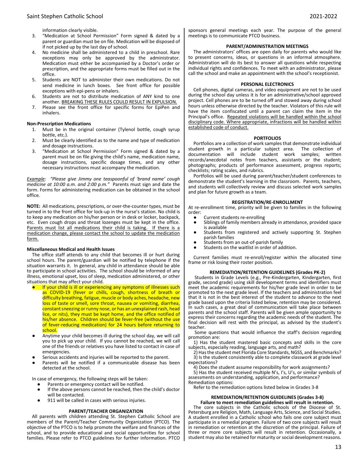information clearly visible.

- 3. "Medication at School Permission" Form signed & dated by a parent or guardian must be on file. Medication will be disposed of if not picked up by the last day of school.
- 4. No medicine shall be administered to a child in preschool. Rare exceptions may only be approved by the administrator. Medication must either be accompanied by a Doctor's order or prescription, and the appropriate forms must be filled out in the office.
- 5. Students are NOT to administer their own medications. Do not send medicine in lunch boxes. See front office for possible exceptions with epi-pens or inhalers.
- 6. Students are not to distribute medication of ANY kind to one another. BREAKING THESE RULES COULD RESULT IN EXPULSION.
- 7. Please see the front office for specific forms for EpiPen and inhalers.

## **Non-Prescription Medications**

- 1. Must be in the original container (Tylenol bottle, cough syrup bottle, etc.).
- 2. Must be clearly identified as to the name and type of medication and dosage instructions.
- 3. "Medication at School Permission" Form signed & dated by a parent must be on file giving the child's name, medication name, dosage instructions, specific dosage times, and any other necessary instructions must accompany the medication.

*Example: "Please give Jimmy one teaspoonful of 'brand name' cough medicine at 10:00 a.m. and 2:00 p.m."* Parents must sign and date the form. Forms for administering medication can be obtained in the school office.

**NOTE:** All medications, prescriptions, or over-the-counter types, must be turned in to the front office for lock-up in the nurse's station. No child is to keep any medication on his/her person or in desk or locker, backpack, etc. Even cough drops and throat lozenges must be kept in the office. Parents must list all medications their child is taking. If there is a medication change, please contact the school to update the medication form.

#### **Miscellaneous Medical and Health Issues**

The office staff attends to any child that becomes ill or hurt during school hours. The parent/guardian will be notified by telephone if the situation warrants it. In general, any child in attendance should be able to participate in school activities. The school should be informed of any illness, emotional upset, loss of sleep, medication administered, or other situations that may affect your child.

- If your child is ill or experiencing any symptoms of illnesses such as COVID-19 (fever or chills, cough, shortness of breath or difficulty breathing, fatigue, muscle or body aches, headache, new loss of taste or smell, sore throat, nausea or vomiting, diarrhea, constant sneezing or runny nose, or has an unexplained rash, head lice, or nits), they must be kept home, and the office notified of his/her absence. Children should be fever-free (without the use of fever-reducing medication) for 24 hours before returning to school.
- Anytime your child becomes ill during the school day, we will call you to pick up your child. If you cannot be reached, we will call one of the friends or relatives you have listed to contact in case of emergencies.
- Serious accidents and injuries will be reported to the parent.
- Parents will be notified if a communicable disease has been detected at the school.

In case of emergency, the following steps will be taken:

- Parents or emergency contact will be notified.
- If the above persons cannot be reached, then the child's doctor will be contacted.
- 911 will be called in cases with serious injuries.

## **PARENT/TEACHER ORGANIZATION**

All parents with children attending St. Stephen Catholic School are members of the Parent/Teacher Community Organization (PTCO). The objective of the PTCO is to help promote the welfare and finances of the school, and to provide educational and social opportunities for school families. Please refer to PTCO guidelines for further information. PTCO sponsors general meetings each year. The purpose of the general meetings is to communicate PTCO business.

## **PARENT/ADMINISTRATION MEETINGS**

The administrators' offices are open daily for parents who would like to present concerns, ideas, or questions in an informal atmosphere. Administration will do its best to answer all questions while respecting individual rights and confidences. To meet with an administrator, please call the school and make an appointment with the school's receptionist.

## **PERSONAL ELECTRONICS**

Cell phones, digital cameras, and video equipment are not to be used during the school day unless it is for an administrative/school approved project. Cell phones are to be turned off and stowed away during school hours unless otherwise directed by the teacher. Violators of this rule will have the item confiscated until a parent can claim the item in the Principal's office. Repeated violations will be handled within the school disciplinary code. Where appropriate, infractions will be handled within established code of conduct.

### **PORTFOLIOS**

Portfolios are a collection of work samples that demonstrate individual student growth in a particular subject area. The collection of documentation will include student work samples; written records/anecdotal notes from teachers, assistants or the student; photographs; products of performance assessment, progress reports; checklists; rating scales, and rubrics.

Portfolios will be used during parent/teacher/student conferences to demonstrate the student's learning in the classroom. Parents, teachers, and students will collectively review and discuss selected work samples and plan for future growth as a team.

## **REGISTRATION/RE-ENROLLMENT**

At re-enrollment time, priority will be given to families in the following order:

- Current students re-enrolling<br>● Siblings of family members all
- Siblings of family members already in attendance, provided space is available
- Students from registered and actively supporting St. Stephen parish families
- Students from an out-of-parish family
- Students on the waitlist in order of addition.

Current families must re-enroll/register within the allocated time frame or risk losing their roster position.

#### **REMEDIATION/RETENTION GUIDELINES (Grades PK-2)**

Students in Grade Levels (e.g., Pre-Kindergarten, Kindergarten, first grade, second grade) using skill development terms and identifiers must meet the academic requirements for his/her grade level in order to be promoted to the next grade level. If the teachers and administration feel that it is not in the best interest of the student to advance to the next grade based upon the criteria listed below, retention may be considered. In such cases, a great deal of communication will take place between parents and the school staff. Parents will be given ample opportunity to express their concerns regarding the academic needs of the student. The final decision will rest with the principal, as advised by the student's teacher.

Some questions that would influence the staff's decision regarding promotion are:

1) Has the student mastered basic concepts and skills in the core subjects, especially reading, language arts, and math?

2) Has the student met Florida Core Standards, NGSS, and Benchmarks?

3) Is the student consistently able to complete classwork at grade level expectations?

4) Does the student assume responsibility for work assignments?

5) Has the student received multiple N's, I's, U's, or similar symbols of assessments on understanding, application, and performance? Remediation options:

Refer to the remediation options listed below in Grades 3-8

## **REMEDIATION/RETENTION GUIDELINES (Grades 3-8) Failure to meet remediation guidelines will result in retention.**

The core subjects in the Catholic schools of the Diocese of St. Petersburg are Religion, Math, Language Arts, Science, and Social Studies. A student enrolled in a Catholic school who fails one core subject must participate in a remedial program. Failure of two core subjects will result in remediation or retention at the discretion of the principal. Failure of three or more core subjects will result in retention. Occasionally, a student may also be retained for maturity or social development reasons.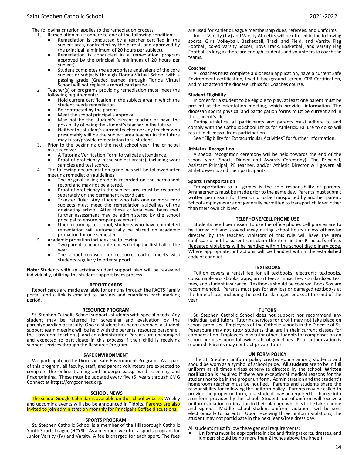## Saint Stephen Catholic School 2021-2022

- 1. Remediation must adhere to one of the following conditions:
	- Remediation is conducted by a teacher certified in the subject area, contracted by the parent, and approved by the principal (a minimum of 20 hours per subject).
	- Remediation is conducted in a remediation program approved by the principal (a minimum of 20 hours per subject).
	- Student completes the appropriate equivalent of the core subject or subjects through Florida Virtual School with a passing grade (Grades earned through Florida Virtual School will not replace a report card grade.)
- 2. Teacher(s) or programs providing remediation must meet the following requirements:
	- Hold current certification in the subject area in which the student needs remediation
	- Be contracted by the parent
	- Meet the school principal's approval
	- May not be the student's current teacher or have the possibility of being the student's teacher in the future
	- Neither the student's current teacher nor any teacher who presumably will be the subject area teacher in the future may tutor/provide remediation for a student.
- 3. Prior to the beginning of the next school year, the principal must receive:
	- A Tutoring Verification Form to validate attendance,
	- Proof of proficiency in the subject area(s), including work samples and test scores.
- 4. The following documentation guidelines will be followed after meeting remediation guidelines:
	- The original failing grade is recorded on the permanent record and may not be altered.
	- Proof of proficiency in the subject area must be recorded separately on the permanent record card.
	- Transfer Rule: Any student who fails one or more core subjects must meet the remediation guidelines of the originating school. After these criteria have been met, further assessment may be administered by the school principal to ensure proper placement.
	- Upon returning to school, students who have completed remediation will automatically be placed on academic probation for one semester
- 5. Academic probation includes the following:
	- Two parent-teacher conferences during the first half of the year
	- The school counselor or resource teacher meets with students regularly to offer support

**Note:** Students with an existing student support plan will be reviewed individually, utilizing the student support team process.

#### **REPORT CARDS**

Report cards are made available for printing through the FACTS Family portal, and a link is emailed to parents and guardians each marking period.

## **RESOURCE PROGRAM**

St. Stephen Catholic School supports students with special needs. Any student may be referred for screening and evaluation by the parent/guardian or faculty. Once a student has been screened, a student support team meeting will be held with the parents, resource personnel, the classroom teacher(s), and an administrator. Parents are encouraged and expected to participate in this process if their child is receiving support services through the Resource Program.

#### **SAFE ENVIRONMENT**

We participate in the Diocesan Safe Environment Program. As a part of this program, all faculty, staff, and parent volunteers are expected to complete the online training and undergo background screening and fingerprinting. These must be updated every five (5) years through CMG Connect at https://cmgconnect.org.

#### **SCHOOL NEWS**

The school Google Calendar is available on the school website. Weekly and upcoming events will also be announced in Tidbits. Parents are also invited to join administration monthly for Principal's Coffee discussions.

#### **SPORTS PROGRAM**

St. Stephen Catholic School is a member of the Hillsborough Catholic Youth Sports League (HCYSL). As a member, we offer a sports program for Junior Varsity (JV) and Varsity. A fee is charged for each sport. The fees are used for Athletic League membership dues, referees, and uniforms. Junior Varsity (J.V) and Varsity Athletics will be offered in the following sports: Girls Volleyball, Basketball, Track and Field, and Varsity Flag Football, co-ed Varsity Soccer, Boys Track, Basketball, and Varsity Flag Football as long as there are enough students and volunteers to coach the teams.

#### **Coaches**

All coaches must complete a diocesan application, have a current Safe Environment certification, level II background screen, CPR Certification, and must attend the diocese Ethics for Coaches course.

#### **Student Eligibility**

In order for a student to be eligible to play, at least one parent must be present at the orientation meeting, which provides information. The diocesan sports physical and participation forms must be current and in the student's file.

During athletics, all participants and parents must adhere to and comply with the Catholic School Ethics for Athletics. Failure to do so will result in dismissal from participation.

See "Eligibility for Extracurricular Activities" for further information.

## **Athletes' Recognition**

A special recognition ceremony will be held towards the end of the school year (Sports Dinner and Awards Ceremony). The Principal, Assistant Principal, PE teacher, and/or Athletic Director will govern all athletic events and their participants.

## **Sports Transportation**

Transportation to all games is the sole responsibility of parents. Arrangements must be made prior to the game day. Parents must submit written permission for their child to be transported by another parent. School employees are not generally permitted to transport children other than their own children.

#### **TELEPHONE/CELL PHONE USE**

Students need permission to use the office phone. Cell phones are to be turned off and stowed away during school hours unless otherwise directed by the teacher. Violators of this rule will have the item confiscated until a parent can claim the item in the Principal's office. Repeated violations will be handled within the school disciplinary code. Where appropriate, infractions will be handled within the established code of conduct.

#### **TEXTBOOKS**

Tuition covers a rental fee for all textbooks, electronic textbooks, consumable workbooks, apps, an art fee, a music fee, standardized test fees, and student insurance. Textbooks should be covered. Book Sox are recommended. Parents must pay for any lost or damaged textbooks at the time of loss, including the cost for damaged books at the end of the year.

## **TUTORS**

St. Stephen Catholic School does not support nor recommend any individual paid tutors. Tutoring services for profit may not take place on school premises. Employees of the Catholic schools in the Diocese of St. Petersburg may not tutor students that are in their current classes for compensation. Employees may tutor other students for compensation on school premises upon following school guidelines. Prior authorization is required. Parents may contract private tutors.

#### **UNIFORM POLICY**

The St. Stephen uniform policy creates equity among students and should be worn as a symbol of school pride. **All students** are to be in full uniform at all times unless otherwise directed by the school. **Written notification** is required if there are exceptional medical reasons for the student not to be in the proper uniform. Administration and the student's homeroom teacher must be notified. Parents and students share the responsibility for following the uniform policy. Parents may be called to provide the proper uniform, or a student may be required to change into a uniform provided by the school. Students out of uniform will receive a uniform violation notification in their planner, which is to be taken home and signed. Middle school student uniform violations will be sent electronically to parents. Upon receiving three uniform violations, the student may not participate in the next jeans/free dress day.

All students must follow these general requirements:

Uniforms must be appropriate in size and fitting (skorts, dresses, and jumpers should be no more than 2 inches above the knee.)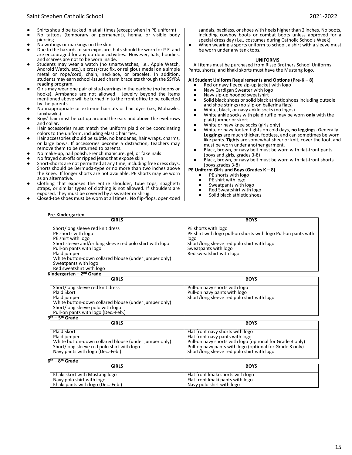- Shirts should be tucked in at all times (except when in PE uniform)
- No tattoos (temporary or permanent), henna, or visible body piercing
- 
- No writings or markings on the skin<br>● Due to the bazards of sun exposure Due to the hazards of sun exposure, hats should be worn for P.E. and are encouraged for any outdoor activities. However, hats, hoodies, and scarves are not to be worn inside.
- Students may wear a watch (no smartwatches, i.e., Apple Watch, Android Watch, etc.), a cross/crucifix, or religious medal on a simple metal or rope/cord, chain, necklace, or bracelet. In addition, students may earn school-issued charm bracelets through the SSYRA reading program.
- Girls may wear one pair of stud earrings in the earlobe (no hoops or hooks). Armbands are not allowed. Jewelry beyond the items mentioned above will be turned in to the front office to be collected by the parents.
- No inappropriate or extreme haircuts or hair dyes (i.e., Mohawks, fauxhawks)
- Boys' hair must be cut up around the ears and above the eyebrows and collar.
- Hair accessories must match the uniform plaid or be coordinating colors to the uniform, including elastic hair ties.
- Hair accessories should be subtle, no bandanas, hair wraps, charms, or large bows. If accessories become a distraction, teachers may remove them to be returned to parents.
- No make-up, nail polish, French manicure, gel, or fake nails
- No frayed cut-offs or ripped jeans that expose skin<br>● Short-shorts are not permitted at any time including
- Short-shorts are not permitted at any time, including free dress days. Shorts should be Bermuda-type or no more than two inches above the knee. If longer shorts are not available, PE shorts may be worn as an alternative.
- Clothing that exposes the entire shoulder, tube tops, spaghetti straps, or similar types of clothing is not allowed. If shoulders are exposed, they must be covered by a sweater or shrug.
- Closed-toe shoes must be worn at all times. No flip-flops, open-toed

sandals, backless, or shoes with heels higher than 2 inches. No boots, including cowboy boots or combat boots unless approved for a special dress day (i.e., costumes during Catholic Schools Week)

● When wearing a sports uniform to school, a shirt with a sleeve must be worn under any tank tops.

#### **UNIFORMS**

All items must be purchased from Risse Brothers School Uniforms. Pants, shorts, and khaki skorts must have the Mustang logo.

#### **All Student Uniform Requirements and Options (Pre-K – 8)**

- Red or navy fleece zip-up jacket with logo
- Navy Cardigan Sweater with logo<br>● Navy zin-un hooded sweatshirt
- Navy zip-up hooded sweatshirt<br>● Solid black shoes or solid black
- Solid black shoes or solid black athletic shoes including outsole and shoe strings (no slip-on ballerina flats)
- White, black, or navy ankle socks (no logos)<br>● White ankle socks with plaid ruffle may be v
- White ankle socks with plaid ruffle may be worn only with the plaid jumper or skort.
- White or navy knee socks (girls only)
- White or navy footed tights on cold days, **no leggings.** Generally. **Leggings** are much thicker, footless, and can sometimes be worn like pants. **Tights** are somewhat sheer or knit, cover the foot, and must be worn under another garment.
- Black, brown, or navy belt must be worn with flat-front pants (boys and girls, grades 3-8)
- Black, brown, or navy belt must be worn with flat-front shorts (boys grades 3-8)

**PE Uniform Girls and Boys (Grades K – 8)**

- PE shorts with logo
- PE shirt with logo
- Sweatpants with logo
- Red Sweatshirt with logo
- Solid black athletic shoes

**Pre-Kindergarten**

| <b>GIRLS</b>                                             | <b>BOYS</b>                                                    |
|----------------------------------------------------------|----------------------------------------------------------------|
| Short/long sleeve red knit dress                         | PE shorts with logo                                            |
| PE shorts with logo                                      | PE shirt with logo pull-on shorts with logo Pull-on pants with |
| PE shirt with logo                                       | logo                                                           |
| Short sleeve and/or long sleeve red polo shirt with logo | Short/long sleeve red polo shirt with logo                     |
| Pull-on pants with logo                                  | Sweatpants with logo                                           |
| Plaid jumper                                             | Red sweatshirt with logo                                       |
| White button-down collared blouse (under jumper only)    |                                                                |
| Sweatpants with logo                                     |                                                                |
| Red sweatshirt with logo                                 |                                                                |
| Kindergarten - $2nd$ Grade                               |                                                                |
| <b>GIRLS</b>                                             | <b>BOYS</b>                                                    |
| Short/long sleeve red knit dress                         | Pull-on navy shorts with logo                                  |
| Plaid Skort                                              | Pull-on navy pants with logo                                   |
| Plaid jumper                                             | Short/long sleeve red polo shirt with logo                     |
| White button-down collared blouse (under jumper only)    |                                                                |
| Short/long sleeve polo with logo                         |                                                                |
| Pull-on pants with logo (Dec.-Feb.)                      |                                                                |
| 3rd - 5 <sup>th</sup> Grade                              |                                                                |
| <b>GIRLS</b>                                             | <b>BOYS</b>                                                    |
| Plaid Skort                                              | Flat front navy shorts with logo                               |
| Plaid jumper                                             | Flat front navy pants with logo                                |
| White button-down collared blouse (under jumper only)    | Pull-on navy shorts with logo (optional for Grade 3 only)      |
| Short/long sleeve red polo shirt with logo               | Pull-on navy pants with logo (optional for Grade 3 only)       |
| Navy pants with logo (Dec.-Feb.)                         | Short/long sleeve red polo shirt with logo                     |

|  |  |  | 6 <sup>th</sup> – 8 <sup>th</sup> Grade |
|--|--|--|-----------------------------------------|
|--|--|--|-----------------------------------------|

| $\cdot$ | . .<br>.                          |                                   |
|---------|-----------------------------------|-----------------------------------|
|         | <b>GIRLS</b>                      | <b>BOYS</b>                       |
|         |                                   |                                   |
|         | Khaki skort with Mustang logo     | Flat front khaki shorts with logo |
|         | Navy polo shirt with logo         | Flat front khaki pants with logo  |
|         | Khaki pants with logo (Dec.-Feb.) | Navy polo shirt with logo         |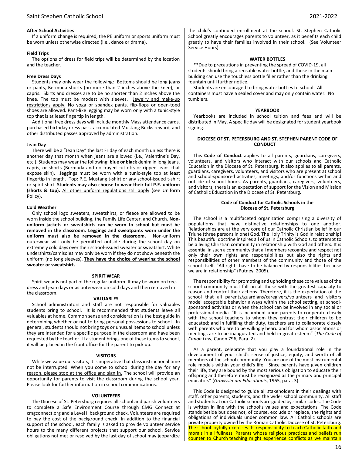## **After School Activities**

If a uniform change is required, the PE uniform or sports uniform must be worn unless otherwise directed (i.e., dance or drama).

## **Field Trips**

The options of dress for field trips will be determined by the location and the teacher.

#### **Free Dress Days**

Students may only wear the following: Bottoms should be long jeans or pants, Bermuda shorts (no more than 2 inches above the knee), or capris. Skirts and dresses are to be no shorter than 2 inches above the knee. The top must be modest with sleeves. Jewelry and make-up restrictions apply. No yoga or spandex pants, flip-flops or open-toed shoes are allowed. Pant-like legging may be worn only with a tunic-style top that is at least fingertip in length.

Additional free dress days will include monthly Mass attendance cards, purchased birthday dress pass, accumulated Mustang Bucks reward, and other distributed passes approved by administration.

#### **Jean Day**

There will be a "Jean Day" the last Friday of each month unless there is another day that month when jeans are allowed (i.e., Valentine's Day, etc.). Students may wear the following: **blue or black** denim in long jeans, capris, or shorts (Bermuda and no frayed cut-offs or ripped jeans that expose skin). Jeggings must be worn with a tunic-style top at least fingertip in length. Top: P.E. Mustang t-shirt or any school-issued t-shirt or spirit shirt. **Students may also choose to wear their full P.E. uniform (shorts & top).** All other uniform regulations still apply (see Uniform Policy).

### **Cold Weather**

Only school logo sweaters, sweatshirts, or fleece are allowed to be worn inside the school building, the Family Life Center, and Church. **Nonuniform jackets or sweatshirts can be worn to school but must be removed in the classroom. Leggings and sweatpants worn under the uniform must also be removed in the classroom.** Non-uniform outerwear will only be permitted outside during the school day on extremely cold days over their school-issued sweater or sweatshirt. White undershirts/camisoles may only be worn if they do not show beneath the uniform (no long sleeves). **They have the choice of wearing the school sweater or sweatshirt.**

#### **SPIRIT WEAR**

Spirit wear is not part of the regular uniform. It may be worn on freedress and jean days or as outerwear on cold days and then removed in the classroom.

## **VALUABLES**

School administrators and staff are not responsible for valuables students bring to school. It is recommended that students leave all valuables at home. Common sense and consideration is the best guide in determining whether or not to bring personal possessions to school. In general, students should not bring toys or unusual items to school unless they are intended for a specific purpose in the classroom and have been requested by the teacher. If a student brings one of these items to school, it will be placed in the front office for the parent to pick up.

#### **VISITORS**

While we value our visitors, it is imperative that class instructional time not be interrupted. When you come to school during the day for any reason, please stop at the office and sign in. The school will provide an opportunity for parents to visit the classroom during the school year. Please look for further information in school communications.

#### **VOLUNTEERS**

The Diocese of St. Petersburg requires all school and parish volunteers to complete a Safe Environment Course through CMG Connect at cmgconnect.org and a Level II background check. Volunteers are required to pay the cost of the background check. In addition to the financial support of the school, each family is asked to provide volunteer service hours to the many different projects that support our school. Service obligations not met or resolved by the last day of school may jeopardize

the child's continued enrollment at the school. St. Stephen Catholic School greatly encourages parents to volunteer, as it benefits each child greatly to have their families involved in their school. (See Volunteer Service Hours)

#### **WATER BOTTLES**

\*\*Due to precautions in preventing the spread of COVID-19, all students should bring a reusable water bottle, and those in the main building can use the touchless bottle filler rather than the drinking fountain until further notice.

Students are encouraged to bring water bottles to school. All containers must have a sealed cover and may only contain water. No tumblers.

#### **YEARBOOK**

Yearbooks are included in school tuition and fees and will be distributed in May. A specific day will be designated for student yearbook signing.

### **DIOCESE OF ST. PETERSBURG AND ST. STEPHEN PARENT CODE OF CONDUCT**

This **Code of Conduct** applies to all parents, guardians, caregivers, volunteers, and visitors who interact with our schools and Catholic Education in the Diocese of St. Petersburg. It also applies to all parents, guardians, caregivers, volunteers, and visitors who are present at school and school-sponsored activities, meetings, and/or functions within and outside of school hours. As parents, guardians, caregivers, volunteers, and visitors, there is an expectation of support for the Vision and Mission of Catholic Education in the Diocese of St. Petersburg.

#### **Code of Conduct for Catholic Schools in the Diocese of St. Petersburg**

The school is a multifaceted organization comprising a diversity of populations that have distinctive relationships to one another. Relationships are at the very core of our Catholic Christian belief in our Triune (three persons in one) God. The Holy Trinity is God in relationship! This beautiful doctrine inspires all of us in Catholic Schools, to attempt to be a living Christian community in relationship with God and others. It is essential in such a community that all members recognize and respect not only their own rights and responsibilities but also the rights and responsibilities of other members of the community and those of the school itself. "All rights have to be balanced by responsibilities because we are in relationship" (Putney, 2005).

The responsibility for promoting and upholding these core values of the school community must fall on all those with the greatest capacity to reason and control their actions. Therefore, it is the expectation of the school that all parents/guardians/caregivers/volunteers and visitors model acceptable behavior always within the school setting, at schoolsponsored activities or when the school can be involved in any social or professional media. "It is incumbent upon parents to cooperate closely with the school teachers to whom they entrust their children to be educated; and in fulfilling their duty, teachers are to collaborate closely with parents who are to be willingly heard and for whom associations or meetings are to be inaugurated and held in great esteem" (*The Code of Canon Law*, Canon 796, Para. 2).

As a parent, celebrate that you play a foundational role in the development of your child's sense of justice, equity, and worth of all members of the school community. You are one of the most instrumental role models within your child's life. "Since parents have given children their life, they are bound by the most serious obligation to educate their offspring and therefore must be recognized as the primary and principal educators" (*Gravissimum Educationis*, 1965, para. 3).

This Code is designed to guide all stakeholders in their dealings with staff, other parents, students, and the wider school community. All staff and students at our Catholic schools are guided by similar codes. The Code is written in line with the school's values and expectations. The Code stands beside but does not, of course, exclude or replace, the rights and obligations of individuals under common law. All Catholic schools are private property owned by the Roman Catholic Diocese of St. Petersburg. The school joyfully exercises its responsibility to teach Catholic faith and morals in all fullness. Parents whose religious practices and beliefs run counter to Church teaching might experience conflicts as we maintain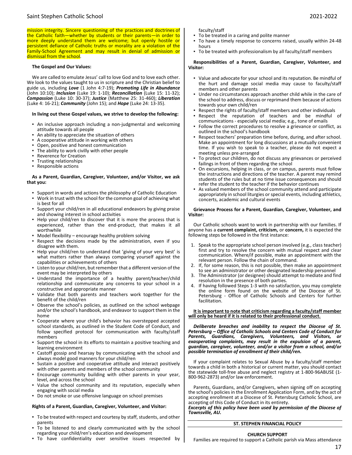mission integrity. Sincere questioning of the practices and doctrines of the Catholic faith—whether by students or their parents—in order to more deeply understand them are welcome; but openly hostile or persistent defiance of Catholic truths or morality are a violation of the Family-School Agreement and may result in denial of admission or dismissal from the school*.*

### **The Gospel and Our Values:**

We are called to emulate Jesus' call to love God and to love each other. We look to the values taught to us in scripture and the Christian belief to guide us, including *Love* (1 John 4:7-19); *Promoting Life in Abundance*  (John 10:10); *Inclusion* (Luke 19: 1-10); *Reconciliation* (Luke 15: 11-32); *Compassion* (Luke 10: 30-37); *Justice* (Matthew 25: 31-460); *Liberation*  (Luke 4: 16-21); *Community* (John 15); and *Hope* (Luke 24: 13-35).

#### **In living out these Gospel values, we strive to develop the following:**

- An inclusive approach including a non-judgmental and welcoming attitude towards all people
- An ability to appreciate the situation of others
- A cooperative attitude in working with others
- Open, positive and honest communication
- The ability to work civilly with other people
- Reverence for Creation
- **Trusting relationships**
- Responsible actions

#### **As a Parent, Guardian, Caregiver, Volunteer, and/or Visitor, we ask that you:**

- Support in words and actions the philosophy of Catholic Education
- Work in trust with the school for the common goal of achieving what is best for all
- Support your child/ren in all educational endeavors by giving praise and showing interest in school activities
- Help your child/ren to discover that it is more the process that is experienced, rather than the end-product, that makes it all worthwhile
- Model flexibility encourage healthy problem solving
- **EXECT** Respect the decisions made by the administration, even if you disagree with them.
- Help your child/ren to understand that 'giving of your very best' is what matters rather than always comparing yourself against the capabilities or achievements of others
- Listen to your child/ren, but remember that a different version of the event may be interpreted by others
- Understand the importance of a healthy parent/teacher/child relationship and communicate any concerns to your school in a constructive and appropriate manner
- Validate that both parents and teachers work together for the benefit of the child/ren
- Observe the school's policies, as outlined on the school webpage and/or the school's handbook, and endeavor to support them in the home
- Cooperate where your child's behavior has overstepped accepted school standards, as outlined in the Student Code of Conduct, and follow specified protocol for communication with faculty/staff members
- Support the school in its efforts to maintain a positive teaching and learning environment
- Castoff gossip and hearsay by communicating with the school and always model good manners for your child/ren
- Sustain a positive and cooperative attitude and interact positively with other parents and members of the school community
- Encourage community building with other parents in your year, level, and across the school
- Value the school community and its reputation, especially when engaging with social media
- Do not smoke or use offensive language on school premises

#### **Rights of a Parent, Guardian, Caregiver, Volunteer, and Visitor:**

- To be treated with respect and courtesy by staff, students, and other parents
- To be listened to and clearly communicated with by the school regarding your child/ren's education and development
- To have confidentiality over sensitive issues respected by

faculty/staff

- To be treated in a caring and polite manner
- To have a timely response to concerns raised, usually within 24-48 hours
- To be treated with professionalism by all faculty/staff members

#### **Responsibilities of a Parent, Guardian, Caregiver, Volunteer, and Visitor:**

- Value and advocate for your school and its reputation. Be mindful of the hurt and damage social media may cause to faculty/staff members and other parents
- Under no circumstances approach another child while in the care of the school to address, discuss or reprimand them because of actions towards your own child/ren
- Respect the rights of faculty/staff members and other individuals
- Respect the reputation of teachers and be mindful of communications - especially social media; e.g., tone of emails
- Follow the correct procedures to resolve a grievance or conflict, as outlined in the school's handbook
- Respect teachers' preparation time before, during, and after school. Make an appointment for long discussions at a mutually convenient time. If you wish to speak to a teacher, please do not expect a meeting unless pre-arranged
- To protect our children, do not discuss any grievances or perceived failings in front of them regarding the school
- On excursions, helping in class, or on campus, parents must follow the instructions and directions of the teacher. A parent may remind students of the rules but at no time issue consequences and should refer the student to the teacher if the behavior continues
- As valued members of the school community attend and participate appropriately in school liturgies or special events, including athletics, concerts, academic and cultural events

#### **Grievance Process for a Parent, Guardian, Caregiver, Volunteer, and Visitor:**

Our Catholic schools want to work in partnership with our families. If anyone has a **current complaint, criticism,** or **concern,** it is expected the following steps be followed in the first instance:

- 1. Speak to the appropriate school person involved (e.g., class teacher) first and try to resolve the concern with mutual respect and clear communication. Where/if possible, make an appointment with the relevant person. Follow the chain of command.
- 2. If, for some reason, this is not possible, then make an appointment to see an administrator or other designated leadership personnel
- 3. The Administrator (or designee) should attempt to mediate and find resolution in the presence of both parties.
- 4. If having followed Steps 1-3 with no satisfaction, you may complete the online form found on the website of the Diocese of St. Petersburg - Office of Catholic Schools and Centers for further facilitation.

**It is important to note that criticism regarding a faculty/staff member will only be heard if it is related to their professional conduct.**

*Deliberate breaches and inability to respect the Diocese of St. Petersburg – Office of Catholic Schools and Centers Code of Conduct for*  Guardians, Caregivers, Volunteers, and Visitors, or *exasperating complaints, may result in the expulsion of a parent, guardian, caregiver, volunteer, and/or a visitor from a school, and/or possible termination of enrollment of their child/ren.*

If your complaint relates to Sexual Abuse by a faculty/staff member towards a child in both a historical or current matter, you should contact the statewide toll-free abuse and neglect registry at 1-800-96ABUSE (1-800-962-2873) and/or law enforcement.

Parents, Guardians, and/or Caregivers, when signing off on accepting the school's policies in the Enrollment Application Form, and by the act of accepting enrollment at a Diocese of St. Petersburg Catholic School, are accepting of this Code of Conduct in its entirety.

*Excerpts of this policy have been used by permission of the Diocese of Townsville, AU.*

## **ST. STEPHEN FINANCIAL POLICY**

## **CHURCH SUPPORT**

Families are required to support a Catholic parish via Mass attendance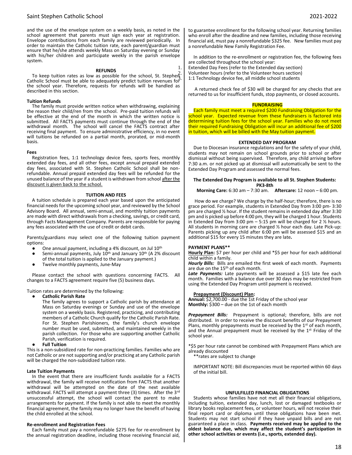## Saint Stephen Catholic School 2021-2022

and the use of the envelope system on a weekly basis, as noted in the school agreement that parents must sign each year at registration. Envelope contributions from each family are reviewed periodically. In order to maintain the Catholic tuition rate, each parent/guardian must ensure that he/she attends weekly Mass on Saturday evening or Sunday with his/her children and participate weekly in the parish envelope system.

#### **REFUNDS**

To keep tuition rates as low as possible for the school, St. Stepheng Catholic School must be able to adequately predict tuition revenues for the school year. Therefore, requests for refunds will be handled as described in this section.

#### **Tuition Refunds**

The family must provide written notice when withdrawing, explaining the reason their child/ren from the school. Pre-paid tuition refunds will be effective at the end of the month in which the written notice is submitted. All FACTS payments must continue through the end of the withdrawal month. The school will cancel the FACTS contract after receiving final payment. To ensure administrative efficiency, in no event will tuitions be refunded on a partial month, prorated, or mid-month basis.

#### **Fees**

Registration fees, 1:1 technology device fees, sports fees, monthly extended day fees, and all other fees, except annual prepaid extended day fees, associated with St. Stephen Catholic School shall be nonrefundable. Annual prepaid extended day fees will be refunded for the unused balance of the year if a student is withdrawn from school after the discount is given back to the school.

#### **TUITION AND FEES**

A tuition schedule is prepared each year based upon the anticipated financial needs for the upcoming school year, and reviewed by the School Advisory Board. All annual, semi-annual, and monthly tuition payments are made with direct withdrawals from a checking, savings, or credit card, through Facts Management Company. Parents are responsible for paying any fees associated with the use of credit or debit cards.

Parents/guardians may select one of the following tuition payment options:

- One annual payment, including a 4% discount, on Jul 10<sup>th</sup>
- **•** Semi-annual payments, July  $10^{th}$  and January  $10^{th}$  (A 2% discount of the total tuition is applied to the January payment.)
- Twelve monthly payments, June-May

Please contact the school with questions concerning FACTS. All changes to a FACTS agreement require five (5) business days.

Tuition rates are determined by the following:

**Catholic Parish Rate** 

The family agrees to support a Catholic parish by attendance at Mass on Saturday evenings or Sunday and use of the envelope system on a weekly basis. Registered, practicing, and contributing members of a Catholic Church qualify for the Catholic Parish Rate. For St. Stephen Parishioners, the family's church envelope number must be used, submitted, and maintained weekly in the parish collection. For those who are supporting another Catholic Parish, verification is required.

**Full Tuition** 

This is a non-subsidized rate for non-practicing families. Families who are not Catholic or are not supporting and/or practicing at any Catholic parish will be charged the non-subsidized tuition rate.

#### **Late Tuition Payments**

In the event that there are insufficient funds available for a FACTS withdrawal, the family will receive notification from FACTS that another withdrawal will be attempted on the date of the next available withdrawal. FACTS will attempt a payment three (3) times. After the 3rd unsuccessful attempt, the school will contact the parent to make arrangements for payment. If the family is not able to meet the monthly financial agreement, the family may no longer have the benefit of having the child enrolled at the school.

#### **Re-enrollment and Registration Fees**

Each family must pay a nonrefundable \$275 fee for re-enrollment by the annual registration deadline, including those receiving financial aid,

to guarantee enrollment for the following school year. Returning families who enroll after the deadline and new families, including those receiving financial aid, must pay a nonrefundable \$325 fee. New families must pay a nonrefundable New Family Registration Fee.

In addition to the re-enrollment or registration fee, the following fees are collected throughout the school year:

1. Extended Day Fees (refer to the Extended day section) 2. Volunteer hours (refer to the Volunteer hours section)

1:1 Technology device fee, all middle school students

A returned check fee of \$30 will be charged for any checks that are returned to us for insufficient funds, stop payments, or closed accounts.

#### **FUNDRAISING**

Each family must meet a required \$200 Fundraising Obligation for the school year. Expected revenue from these fundraisers is factored into determining tuition fees for the school year. Families who do not meet their required Fundraising Obligation will incur an additional fee of \$200 in tuition, which will be billed with the May tuition payment.

#### **EXTENDED DAY PROGRAM**

Due to Diocesan insurance regulations and for the safety of your child, students may not remain on school grounds prior to school or after dismissal without being supervised. Therefore, any child arriving before 7:30 a.m. or not picked up at dismissal will automatically be sent to the Extended Day Program and assessed the normal fees.

## **The Extended Day Program is available to all St. Stephen Students: PK3-8th**

**Morning Care:** 6:30 am – 7:30 am. **Aftercare:** 12 noon – 6:00 pm.

How do we charge? We charge by the half-hour; therefore, there is no grace period. For example, students in Extended Day from 3:00 pm- 3:30 pm are charged ½ hour. If the student remains in extended day after 3:30 pm and is picked up before 4:00 pm, they will be charged 1 hour. Students in Extended Day from 3:00 pm  $-$  5:15 pm will be charged for 2  $\frac{1}{2}$  hours. All students in morning care are charged ½ hour each day. Late Pick-up: Parents picking up any child after 6:00 pm will be assessed \$15 and an additional \$15 for every 15 minutes they are late*.*

## **PAYMENT PLANS\*\***

**Hourly Plan:** \$7 per hour per child and \*\$5 per hour for each additional child within a family.

*Hourly Bills:* Bills are emailed the first week of each month. Payments are due on the 15<sup>th</sup> of each month.

Late Payments: Late payments will be assessed a \$15 late fee each month. Families with a balance due over 30 days may be restricted from using the Extended Day Program until payment is received.

#### **Prepayment (Discount) Plan:**

**Annual:** \$2,700.00 - due the 1st Friday of the school year **Monthly:** \$300 – due on the 1st of each month

Prepayment Bills: Prepayment is optional; therefore, bills are not distributed. In order to receive the discount benefits of our Prepayment Plans, monthly prepayments must be received by the  $1<sup>st</sup>$  of each month, and the Annual prepayment must be received by the 1<sup>st</sup> Friday of the school year.

\*\$5 per hour rate cannot be combined with Prepayment Plans which are already discounted

\*\*rates are subject to change

IMPORTANT NOTE: Bill discrepancies must be reported within 60 days of the initial bill.

#### **UNFULFILLED FINANCIAL OBLIGATIONS**

Students whose families have not met all their financial obligations, including tuition, extended day, lunch, lost or damaged textbooks or library books replacement fees, or volunteer hours, will not receive their final report card or diploma until these obligations have been met. Students may not start school if they have unpaid bills and are not guaranteed a place in class. **Payments received may be applied to the oldest balance due, which may affect the student's participation in other school activities or events (i.e., sports, extended day).**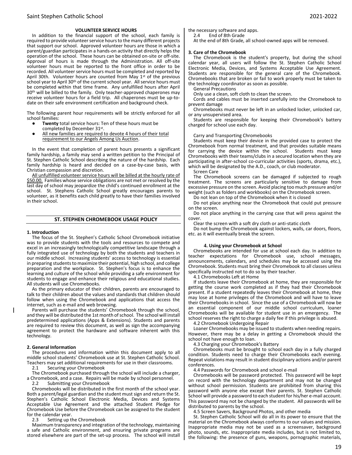#### **VOLUNTEER SERVICE HOURS**

In addition to the financial support of the school, each family is required to provide volunteer service hours to the many different projects that support our school. Approved volunteer hours are those in which a parent/guardian participates in a hands-on activity that directly helps the operation of the school. These hours can be obtained on-site or off-site. Approval of hours is made through the Administration. All off-site volunteer hours must be reported to the front office in order to be recorded. All volunteer service hours must be completed and reported by April 30th. Volunteer hours are counted from May  $1<sup>st</sup>$  of the previous school year to April 30<sup>th</sup> of the current school year. All service hours must be completed within that time frame. Any unfulfilled hours after April 30<sup>th</sup> will be billed to the family. Only teacher-approved chaperones may receive volunteer hours for a field trip. All chaperones must be up-todate on their safe environment certification and background check.

The following parent hour requirements will be strictly enforced for all school families:

- **Twenty** total service hours: Ten of these hours must be completed by December 31st.
- All new families are required to devote 4 hours of their total requirement to our Angels Among Us Auction.

In the event that completion of parent hours presents a significant family hardship, a family may send a written petition to the Principal of St. Stephen Catholic School describing the nature of the hardship. Each family hardship is heard and decided on a case-by-case basis, with Christian compassion and discretion.

All unfulfilled volunteer service hours will be billed at the hourly rate of \$50.00.Families whose service obligations are not met or resolved by the last day of school may jeopardize the child's continued enrollment at the school. St. Stephens Catholic School greatly encourages parents to volunteer, as it benefits each child greatly to have their families involved in their school.

### **ST. STEPHEN CHROMEBOOK USAGE POLICY**

#### **1. Introduction**

The focus of the St. Stephen's Catholic School Chromebook initiative was to provide students with the tools and resources to compete and excel in an increasingly technologically competitive landscape through a fully integrated use of technology by both the students and teachers in our middle school. Increasing students' access to technology is essential in preparing students to maximize their potential, high school, and college preparation and the workplace. St. Stephen's focus is to enhance the learning and culture of the school while providing a safe environment for students to engage and enhance their religious and educational studies. All students will use Chromebooks.

As the primary educator of their children, parents are encouraged to talk to their children about the values and standards that children should follow when using the Chromebook and applications that access the internet, such as e-mail and web browsing.

Parents will purchase the students' Chromebook\_through the school, and they will be distributed the 1st month of school. The school will install predetermined applications (Apps & Extensions). Students and parents are required to review this document, as well as sign the accompanying agreement to protect the hardware and software inherent with this technology.

## **2. General Information**

The procedures and information within this document apply to all middle school students' Chromebook use at St. Stephen Catholic School. Teachers may set additional requirements for use in their classrooms.<br>2.1 Securing your Chromebook

Securing your Chromebook

The Chromebook purchased through the school will include a charger, a Chromebook, and a case. Repairs will be made by school personnel.<br>2.2 Submitting your Chromebook Submitting your Chromebook

Chromebooks will be distributed in the first month of the school year. Both a parent/legal guardian and the student must sign and return the St. Stephen's Catholic School Electronic Media, Devices and Systems Acceptable Use Agreement and the attached Student Pledge for Chromebook Use before the Chromebook can be assigned to the student for the calendar year.<br>2.3 Setting up the

Setting up the Chromebook

Maximum transparency and integration of the technology, maintaining a safe and Catholic environment, and ensuring private programs are stored elsewhere are part of the set-up process. The school will install the necessary software and apps.<br>2.4 Find of 8th Grade

2.4 End of 8th Grade

At the end of 8th Grade, all school-owned apps will be removed.

#### **3. Care of the Chromebook**

The Chromebook is the student's property, but during the school calendar year, all users will follow the St. Stephen Catholic School Electronic Media, Devices, and Systems Acceptable Use Agreement. Students are responsible for the general care of the Chromebook. Chromebooks that are broken or fail to work properly must be taken to the technology coordinator as soon as possible.

General Precautions

Only use a clean, soft cloth to clean the screen.

Cords and cables must be inserted carefully into the Chromebook to prevent damage

Chromebooks must never be left in an unlocked locker, unlocked car, or any unsupervised area.

Students are responsible for keeping their Chromebook's battery charged for school use each day.

#### Carry and Transporting Chromebooks

Students must keep their device in the provided case to protect the Chromebook from normal treatment, and that provides suitable means for carrying the device within the school. Students must keep Chromebooks with their teams/clubs in a secured location when they are participating in after-school co-curricular activities (sports, drama, etc.), which will be designated by the A.D., coach, or club moderator.

Screen Care

The Chromebook screens can be damaged if subjected to rough treatment. The screens are particularly sensitive to damage from excessive pressure on the screen. Avoid placing too much pressure and/or weight (such as folders and workbooks) on the Chromebook screen.

Do not lean on top of the Chromebook when it is closed

Do not place anything near the Chromebook that could put pressure on the screen.

Do not place anything in the carrying case that will press against the cover.

Clear the screen with a soft dry cloth or anti-static cloth

Do not bump the Chromebook against lockers, walls, car doors, floors, etc. as it will eventually break the screen.

#### **4. Using your Chromebook at School**

Chromebooks are intended for use at school each day. In addition to teacher expectations for Chromebook use, school messages, announcements, calendars, and schedules may be accessed using the Chromebook. Students must bring their Chromebook to all classes unless specifically instructed not to do so by their teacher.

4.1 Chromebooks Left at Home

If students leave their Chromebook at home, they are responsible for getting the course work completed as if they had their Chromebook present. If a student repeatedly leaves their Chromebook at home, they may lose at home privileges of the Chromebook and will have to leave their Chromebooks in school. Since the use of a Chromebook will now be an essential component of our middle school curriculum, loaner Chromebooks will be available for student use in an emergency. The school reserves the right to charge a daily fee if this privilege is abused.

4.2 Chromebook Undergoing Repair

Loaner Chromebooks may be issued to students when needing repairs. However, there may be a delay in getting a Chromebook should the school not have enough to loan.

4.3 Charging your Chromebook's Battery

Chromebooks must be brought to school each day in a fully charged condition. Students need to charge their Chromebooks each evening. Repeat violations may result in student disciplinary actions and/or parent conferences.

4.4 Passwords for Chromebook and school e-mail

Chromebooks will be password protected. This password will be kept on record with the technology department and may not be changed without school permission. Students are prohibited from sharing this password with anyone else except their parents. St. Stephen Catholic School will provide a password to each student for his/her e-mail account. This password may not be changed by the student. All passwords will be distributed to parents by the school.

4.5 Screen Savers, Background Photos, and other media

St. Stephen Catholic School will do all in its power to ensure that the material on the Chromebook always conforms to our values and mission. Inappropriate media may not be used as a screensaver, background photo, sounds, etc. Inappropriate media includes, but is not limited to, the following: the presence of guns, weapons, pornographic materials,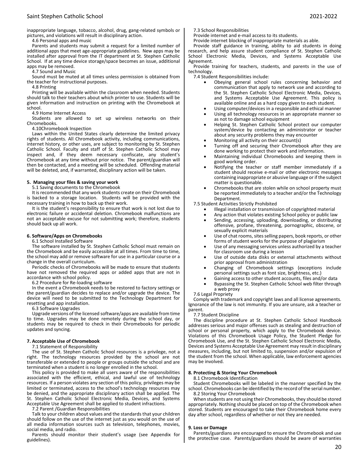inappropriate language, tobacco, alcohol, drug, gang-related symbols or pictures, and violations will result in disciplinary action.

4.6 Personal apps and music

Parents and students may submit a request for a limited number of additional apps that meet age-appropriate guidelines. New apps may be installed after approval from the IT department at St. Stephen Catholic School. If at any time device storage/space becomes an issue, additional apps may be removed.

4.7 Sound and Music

Sound must be muted at all times unless permission is obtained from the teacher for instructional purposes.

4.8 Printing

Printing will be available within the classroom when needed. Students should talk to their teachers about which printer to use. Students will be given information and instruction on printing with the Chromebook at school.

4.9 Home Internet Access

Students are allowed to set up wireless networks on their Chromebooks.

4.10Chromebook Inspection

Laws within the United States clearly determine the limited privacy rights of students. All Chromebook activity, including communications, internet history, or other uses, are subject to monitoring by St. Stephen Catholic School. Faculty and staff of St. Stephen Catholic School may inspect and, if they deem necessary confiscate, any student's Chromebook at any time without prior notice. The parent/guardian will then be contacted, and a meeting will be scheduled. Offending material will be deleted, and, if warranted, disciplinary action will be taken.

## **5. Managing your files & saving your work**

5.1 Saving documents to the Chromebook

It is recommended that any work students create on their Chromebook is backed to a storage location. Students will be provided with the necessary training in how to back up their work.

It is the student's responsibility to ensure that work is not lost due to electronic failure or accidental deletion. Chromebook malfunctions are not an acceptable excuse for not submitting work; therefore, students should back up all work.

## **6. Software/Apps on Chromebooks**

6.1 School Installed Software

The software installed by St. Stephen Catholic School must remain on the Chromebook and be easily accessible at all times. From time to time, the school may add or remove software for use in a particular course or a change in the overall curriculum.

Periodic checks of Chromebooks will be made to ensure that students have not removed the required apps or added apps that are not in accordance with school policy.

6.2 Procedure for Re-loading software

In the event a Chromebook needs to be restored to factory settings or the parent/guardian decides to replace and/or upgrade the device. The device will need to be submitted to the Technology Department for resetting and app installation.

6.3 Software Upgrades

Upgrade versions of the licensed software/apps are available from time to time. Upgrades may be done remotely during the school day, or students may be required to check in their Chromebooks for periodic updates and syncing.

## **7. Acceptable Use of Chromebook**

7.1 Statement of Responsibility

The use of St. Stephen Catholic School resources is a privilege, not a right. The technology resources provided by the school are not transferable or extended to people or groups outside the school and are terminated when a student is no longer enrolled in the school.

This policy is provided to make all users aware of the responsibilities associated with the efficient, ethical, and lawful use of technology resources. If a person violates any section of this policy, privileges may be limited or terminated, access to the school's technology resources may be denied, and the appropriate disciplinary action shall be applied. The St. Stephen Catholic School Electronic Media, Devices, and Systems Acceptable Use Agreement shall be applied to student infractions.

7.2 Parent /Guardian Responsibilities

Talk to your children about values and the standards that your children should follow on the use of the internet just as you would on the use of all media information sources such as television, telephones, movies, social media, and radio.

Parents should monitor their student's usage (see Appendix for guidelines).

7.3 School Responsibilities

Provide internet and e-mail access to its students.

Provide internet blocking of inappropriate materials as able.

Provide staff guidance in training, ability to aid students in doing research, and help assure student compliance of St. Stephen Catholic School Electronic Media, Devices, and Systems Acceptable Use Agreement.

Provide training for teachers, students, and parents in the use of technology.

7.4 Student Responsibilities include:

- Obeying general school rules concerning behavior and communication that apply to network use and according to the St. Stephen Catholic School Electronic Media, Devices, and Systems Acceptable Use Agreement. This policy is available online and as a hard copy given to each student.
- Using computer/devices in a responsible and ethical manner
- Using all technology resources in an appropriate manner so as not to damage school equipment
- Helping St. Stephen Catholic School protect our computer system/device by contacting an administrator or teacher about any security problems they may encounter
- Monitoring all activity on their account(s)
- Turning off and securing their Chromebook after they are done working to protect their work and information.
- Maintaining individual Chromebooks and keeping them in good working order.
- Notifying the teacher or staff member immediately if a student should receive e-mail or other electronic messages containing inappropriate or abusive language or if the subject matter is questionable.
- Chromebooks that are stolen while on school property must be reported immediately to a teacher and/or the Technology Department.

7.5 Student Activities Strictly Prohibited

- Illegal installation or transmission of copyrighted material
- Any action that violates existing School policy or public law
- Sending, accessing, uploading, downloading, or distributing offensive, profane, threatening, pornographic, obscene, or sexually explicit materials
- Use of chat rooms, sites selling papers, book reports, or other forms of student works for the purpose of plagiarism
- Use of any messaging services unless authorized by a teacher for classroom use during a lesson
- Use of outside data disks or external attachments without prior approval from administration
- Changing of Chromebook settings (exceptions include personal settings such as font size, brightness, etc.)
- Gaining access to other student accounts, files and/or data
- Bypassing the St. Stephen Catholic School web filter through a web proxy

7.6 Legal Propriety

Comply with trademark and copyright laws and all license agreements. Ignorance of the law is not immunity. If you are unsure, ask a teacher or parent.

7.7 Student Discipline

The discipline procedure at St. Stephen Catholic School Handbook addresses serious and major offenses such as stealing and destruction of school or personal property, which apply to the Chromebook device. Violations of this Chromebook Usage Policy, the Student Pledge for Chromebook Use, and the St. Stephen Catholic School Electronic Media, Devices and Systems Acceptable Use Agreement may result in disciplinary measures, including, but not limited to, suspension and/or expulsion of the student from the school. When applicable, law enforcement agencies may be involved.

## **8. Protecting & Storing Your Chromebook**

8.1 Chromebook Identification

Student Chromebooks will be labeled in the manner specified by the school. Chromebooks can be identified by the record of the serial number. 8.2 Storing Your Chromebook

When students are not using their Chromebooks, they should be stored appropriately. Nothing should be placed on top of the Chromebook when stored. Students are encouraged to take their Chromebook home every day after school, regardless of whether or not they are needed.

#### **9. Loss or Damage**

Parents/guardians are encouraged to ensure the Chromebook and use the protective case. Parents/guardians should be aware of warranties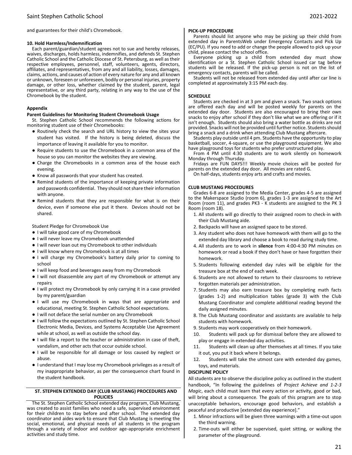and guarantees for their child's Chromebook.

### **10. Hold Harmless/Indemnification**

Each parent/guardian/student agrees not to sue and hereby releases, waives, discharges, holds harmless, indemnifies, and defends St. Stephen Catholic School and the Catholic Diocese of St. Petersburg, as well as their respective employees, personnel, staff, volunteers, agents, directors, affiliates, and representatives, from any and all liability, losses, damages, claims, actions, and causes of action of every nature for any and all known or unknown, foreseen or unforeseen, bodily or personal injuries, property damage, or other loss, whether claimed by the student, parent, legal representative, or any third party, relating in any way to the use of the Chromebook by the student.

## **Appendix**

### **Parent Guidelines for Monitoring Student Chromebook Usage**

St. Stephen Catholic School recommends the following actions for monitoring student use of their Chromebooks:

- Routinely check the search and URL history to view the sites your student has visited. If the history is being deleted, discuss the importance of leaving it available for you to monitor.
- Require students to use the Chromebook in a common area of the house so you can monitor the websites they are viewing.
- Charge the Chromebooks in a common area of the house each evening.
- Know all passwords that your student has created.
- Remind students of the importance of keeping private information and passwords confidential. They should not share their information with anyone.
- Remind students that they are responsible for what is on their device, even if someone else put it there. Devices should not be shared.

Student Pledge for Chromebook Use

- I will take good care of my Chromebook
- I will never leave my Chromebook unattended
- I will never loan out my Chromebook to other individuals
- I will know where my Chromebook is at all times
- I will charge my Chromebook's battery daily prior to coming to school
- I will keep food and beverages away from my Chromebook
- I will not disassemble any part of my Chromebook or attempt any repairs
- I will protect my Chromebook by only carrying it in a case provided by my parent/guardian
- I will use my Chromebook in ways that are appropriate and educational, meeting St. Stephen Catholic School expectations.
- I will not deface the serial number on any Chromebook
- I will follow the expectations outlined by St. Stephen Catholic School Electronic Media, Devices, and Systems Acceptable Use Agreement while at school, as well as outside the school day.
- I will file a report to the teacher or administration in case of theft, vandalism, and other acts that occur outside school.
- I will be responsible for all damage or loss caused by neglect or abuse.
- I understand that I may lose my Chromebook privileges as a result of my inappropriate behavior, as per the consequence chart found in the student handbook.

## **ST. STEPHEN EXTENDED DAY (CLUB MUSTANG) PROCEDURES AND POLICIES**

The St. Stephen Catholic School extended day program, Club Mustang, was created to assist families who need a safe, supervised environment for their children to stay before and after school. The extended day coordinator and aides work to ensure that Club Mustang is meeting the social, emotional, and physical needs of all students in the program through a variety of indoor and outdoor age-appropriate enrichment activities and study time.

## **PICK-UP PROCEDURE**

Parents should list anyone who may be picking up their child from extended day in ParentsWeb under Emergency Contacts and Pick Up (EC/PU). If you need to add or change the people allowed to pick up your child, please contact the school office.

Everyone picking up a child from extended day must show identification or a St. Stephen Catholic School issued car tag before students will be released. If the pick-up person is not on the list of emergency contacts, parents will be called.

Students will not be released from extended day until after car line is completed at approximately 3:15 PM each day.

## **SCHEDULE**

Students are checked in at 3 pm and given a snack. Two snack options are offered each day and will be posted weekly for parents on the extended day door. Students are also encouraged to bring their own snacks to enjoy after school if they don't like what we are offering or if it isn't enough. Students should also bring a water bottle as drinks are not provided. Snacks will not be provided until further notice. Students should bring a snack and a drink when attending Club Mustang aftercare.

Students play outside until 4 pm. Students have the opportunity to play basketball, soccer, 4-square, or use the playground equipment. We also have playground toys for students who prefer unstructured play.

From 4 PM until 4:30 students are to work silently on homework Monday through Thursday.

Fridays are FUN DAYS!!! Weekly movie choices will be posted for parents on the extended day door. All movies are rated G.

On half-days, students enjoy arts and crafts and movies.

### **CLUB MUSTANG PROCEDURES**

Grades 6-8 are assigned to the Media Center, grades 4-5 are assigned to the Makerspace Studio (room 6), grades 1-3 are assigned to the Art Room (room 11), and grades PK3 - K students are assigned to the PK 3 Room (room 18).

- 1. All students will go directly to their assigned room to check-in with their Club Mustang aide.
- 2. Backpacks will have an assigned space to be stored.
- 3. Any student who does not have homework with them will go to the extended day library and choose a book to read during study time.
- 4. All students are to work in **silence** from 4:00-4:30 PM minutes on homework or read a book if they don't have or have forgotten their homework.
- 5. Students following extended day rules will be eligible for the treasure box at the end of each week.
- 6. Students are not allowed to return to their classrooms to retrieve forgotten materials per administration.
- 7. Students may also earn treasure box by completing math facts (grades 1-2) and multiplication tables (grade 3) with the Club Mustang Coordinator and complete additional reading beyond the daily assigned minutes.
- 8. The Club Mustang coordinator and assistants are available to help students with homework.
- 9. Students may work cooperatively on their homework.
- 10. Students will pack up for dismissal before they are allowed to play or engage in extended day activities.
- 11. Students will clean up after themselves at all times. If you take it out, you put it back where it belongs.
- 12. Students will take the utmost care with extended day games, toys, and materials.

## **DISCIPLINE POLICY**

All students are to observe the discipline policy as outlined in the student handbook, "In following the guidelines of *Project Achieve and 1-2-3 Magic*, each child must learn that every action or activity, good or bad, will bring about a consequence. The goals of this program are to stop unacceptable behaviors, encourage good behaviors, and establish a peaceful and productive [extended day experience]."

- 1. Minor infractions will be given three warnings with a time-out upon the third warning.
- 2. Time-outs will either be supervised, quiet sitting, or walking the parameter of the playground.